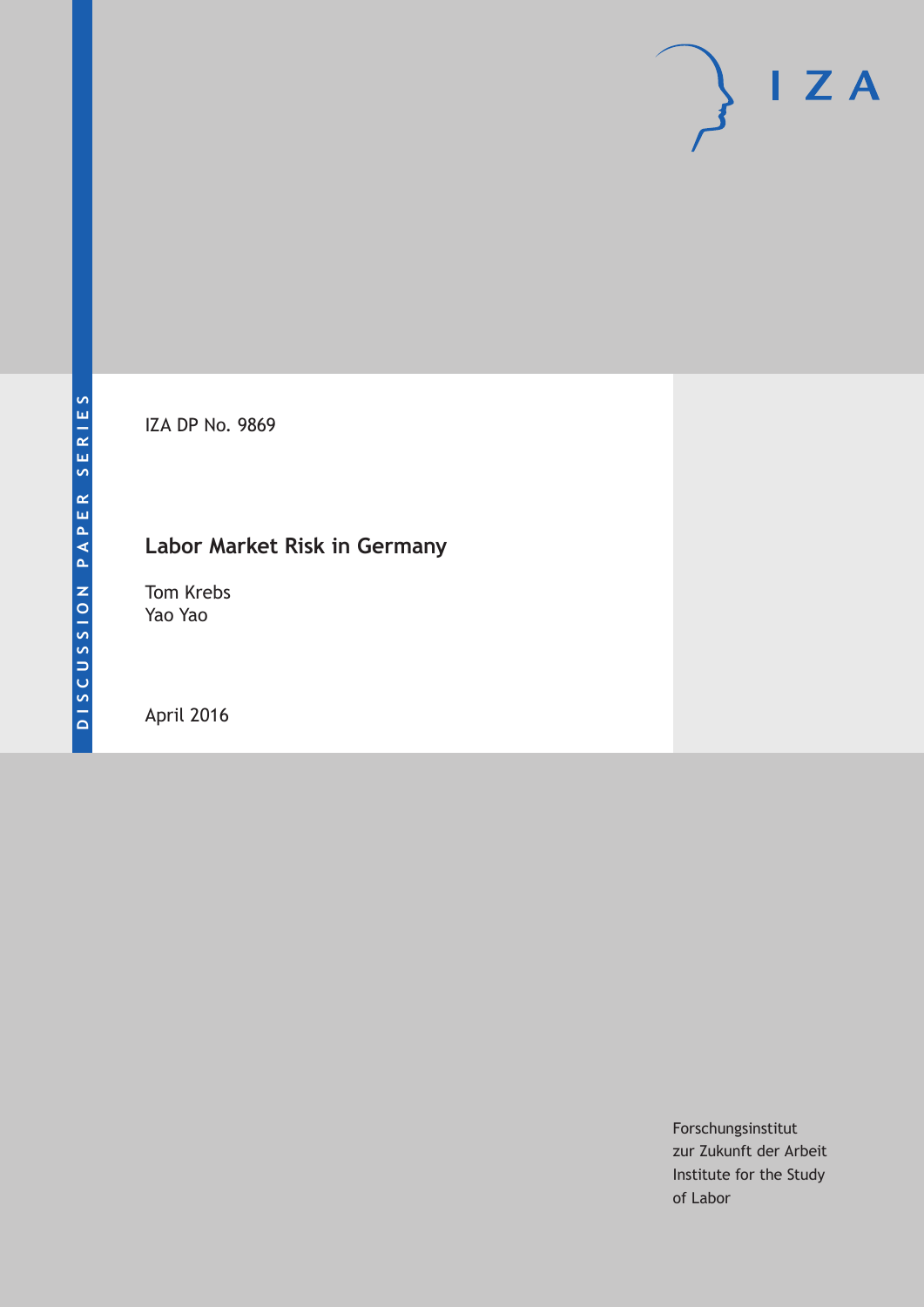IZA DP No. 9869

# **Labor Market Risk in Germany**

Tom Krebs Yao Yao

April 2016

Forschungsinstitut zur Zukunft der Arbeit Institute for the Study of Labor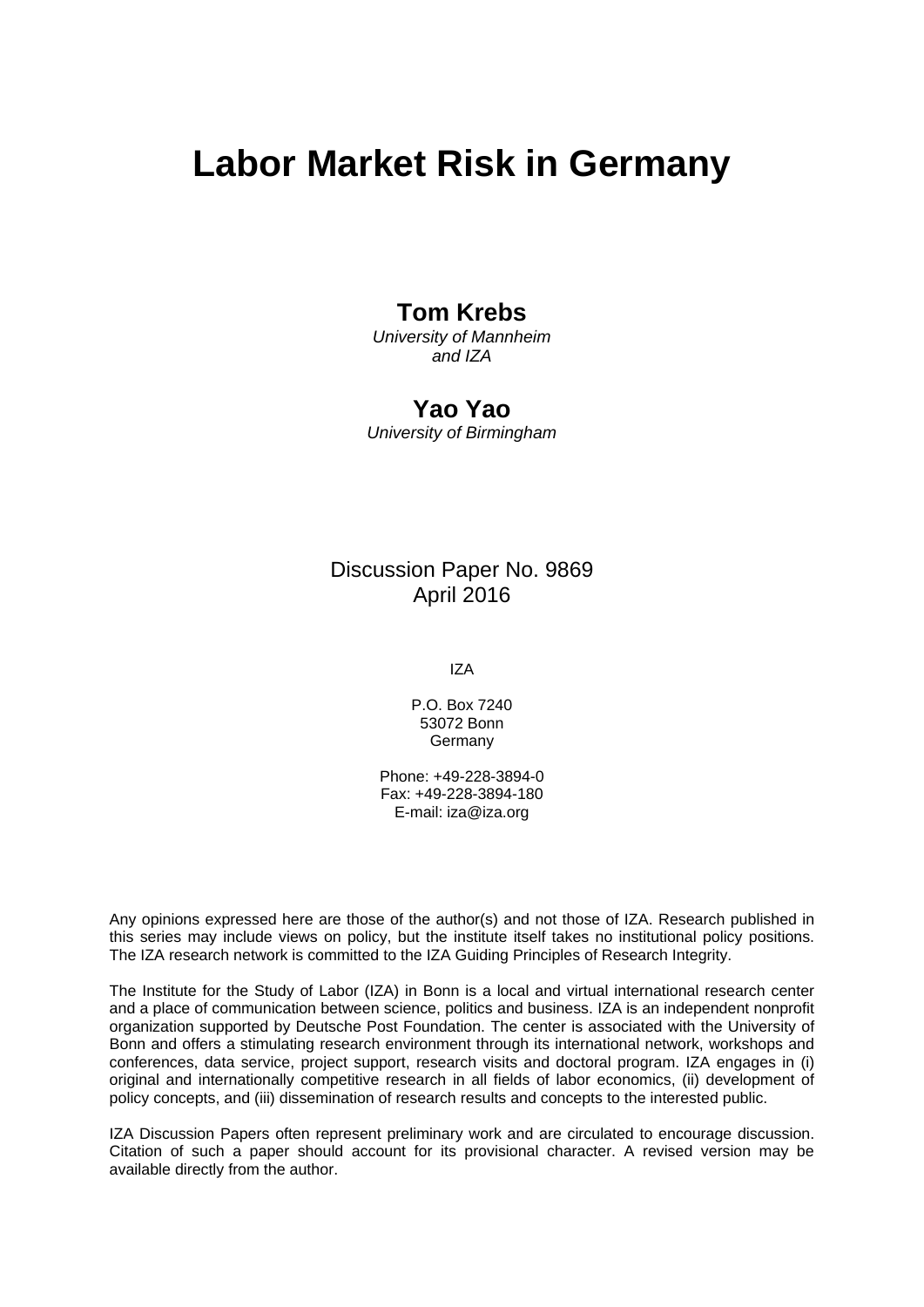# **Labor Market Risk in Germany**

# **Tom Krebs**

*University of Mannheim and IZA* 

### **Yao Yao**

*University of Birmingham* 

### Discussion Paper No. 9869 April 2016

IZA

P.O. Box 7240 53072 Bonn Germany

Phone: +49-228-3894-0 Fax: +49-228-3894-180 E-mail: iza@iza.org

Any opinions expressed here are those of the author(s) and not those of IZA. Research published in this series may include views on policy, but the institute itself takes no institutional policy positions. The IZA research network is committed to the IZA Guiding Principles of Research Integrity.

The Institute for the Study of Labor (IZA) in Bonn is a local and virtual international research center and a place of communication between science, politics and business. IZA is an independent nonprofit organization supported by Deutsche Post Foundation. The center is associated with the University of Bonn and offers a stimulating research environment through its international network, workshops and conferences, data service, project support, research visits and doctoral program. IZA engages in (i) original and internationally competitive research in all fields of labor economics, (ii) development of policy concepts, and (iii) dissemination of research results and concepts to the interested public.

IZA Discussion Papers often represent preliminary work and are circulated to encourage discussion. Citation of such a paper should account for its provisional character. A revised version may be available directly from the author.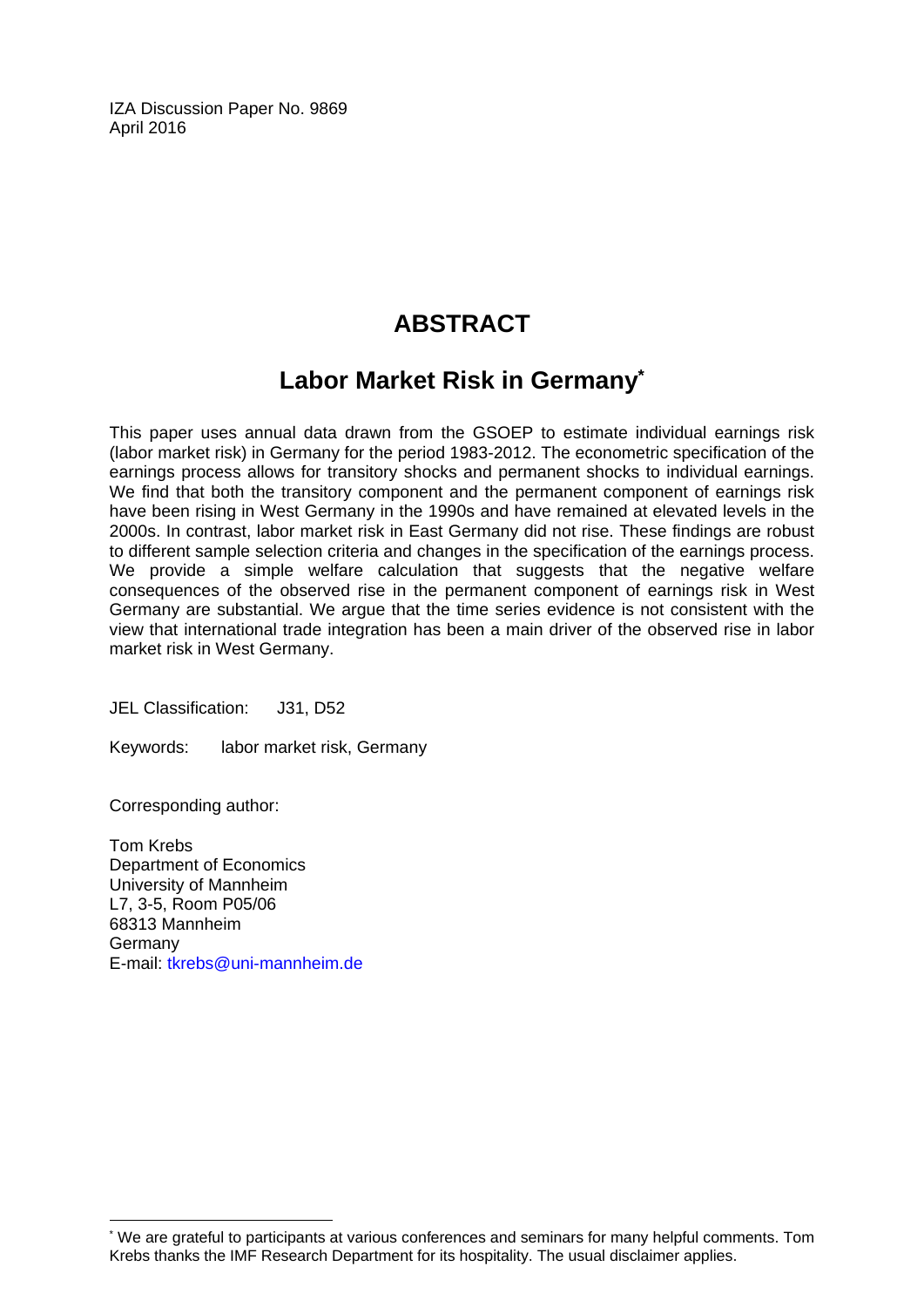IZA Discussion Paper No. 9869 April 2016

# **ABSTRACT**

# **Labor Market Risk in Germany\***

This paper uses annual data drawn from the GSOEP to estimate individual earnings risk (labor market risk) in Germany for the period 1983-2012. The econometric specification of the earnings process allows for transitory shocks and permanent shocks to individual earnings. We find that both the transitory component and the permanent component of earnings risk have been rising in West Germany in the 1990s and have remained at elevated levels in the 2000s. In contrast, labor market risk in East Germany did not rise. These findings are robust to different sample selection criteria and changes in the specification of the earnings process. We provide a simple welfare calculation that suggests that the negative welfare consequences of the observed rise in the permanent component of earnings risk in West Germany are substantial. We argue that the time series evidence is not consistent with the view that international trade integration has been a main driver of the observed rise in labor market risk in West Germany.

JEL Classification: J31, D52

Keywords: labor market risk, Germany

Corresponding author:

 $\overline{\phantom{a}}$ 

Tom Krebs Department of Economics University of Mannheim L7, 3-5, Room P05/06 68313 Mannheim Germany E-mail: tkrebs@uni-mannheim.de

<sup>\*</sup> We are grateful to participants at various conferences and seminars for many helpful comments. Tom Krebs thanks the IMF Research Department for its hospitality. The usual disclaimer applies.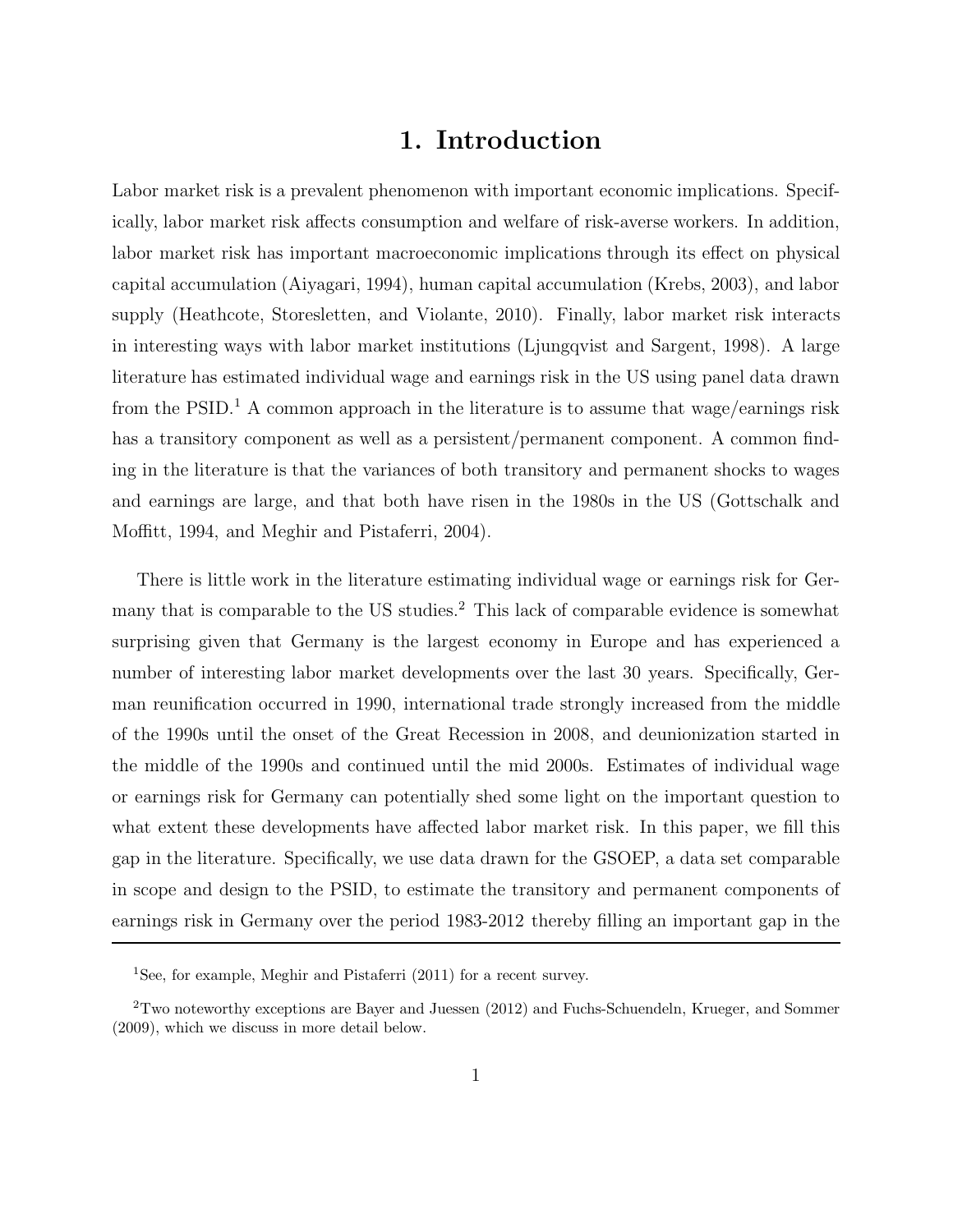# **1. Introduction**

Labor market risk is a prevalent phenomenon with important economic implications. Specifically, labor market risk affects consumption and welfare of risk-averse workers. In addition, labor market risk has important macroeconomic implications through its effect on physical capital accumulation (Aiyagari, 1994), human capital accumulation (Krebs, 2003), and labor supply (Heathcote, Storesletten, and Violante, 2010). Finally, labor market risk interacts in interesting ways with labor market institutions (Ljungqvist and Sargent, 1998). A large literature has estimated individual wage and earnings risk in the US using panel data drawn from the PSID.<sup>1</sup> A common approach in the literature is to assume that wage/earnings risk has a transitory component as well as a persistent/permanent component. A common finding in the literature is that the variances of both transitory and permanent shocks to wages and earnings are large, and that both have risen in the 1980s in the US (Gottschalk and Moffitt, 1994, and Meghir and Pistaferri, 2004).

There is little work in the literature estimating individual wage or earnings risk for Germany that is comparable to the US studies.<sup>2</sup> This lack of comparable evidence is somewhat surprising given that Germany is the largest economy in Europe and has experienced a number of interesting labor market developments over the last 30 years. Specifically, German reunification occurred in 1990, international trade strongly increased from the middle of the 1990s until the onset of the Great Recession in 2008, and deunionization started in the middle of the 1990s and continued until the mid 2000s. Estimates of individual wage or earnings risk for Germany can potentially shed some light on the important question to what extent these developments have affected labor market risk. In this paper, we fill this gap in the literature. Specifically, we use data drawn for the GSOEP, a data set comparable in scope and design to the PSID, to estimate the transitory and permanent components of earnings risk in Germany over the period 1983-2012 thereby filling an important gap in the

<sup>&</sup>lt;sup>1</sup>See, for example, Meghir and Pistaferri  $(2011)$  for a recent survey.

<sup>2</sup>Two noteworthy exceptions are Bayer and Juessen (2012) and Fuchs-Schuendeln, Krueger, and Sommer (2009), which we discuss in more detail below.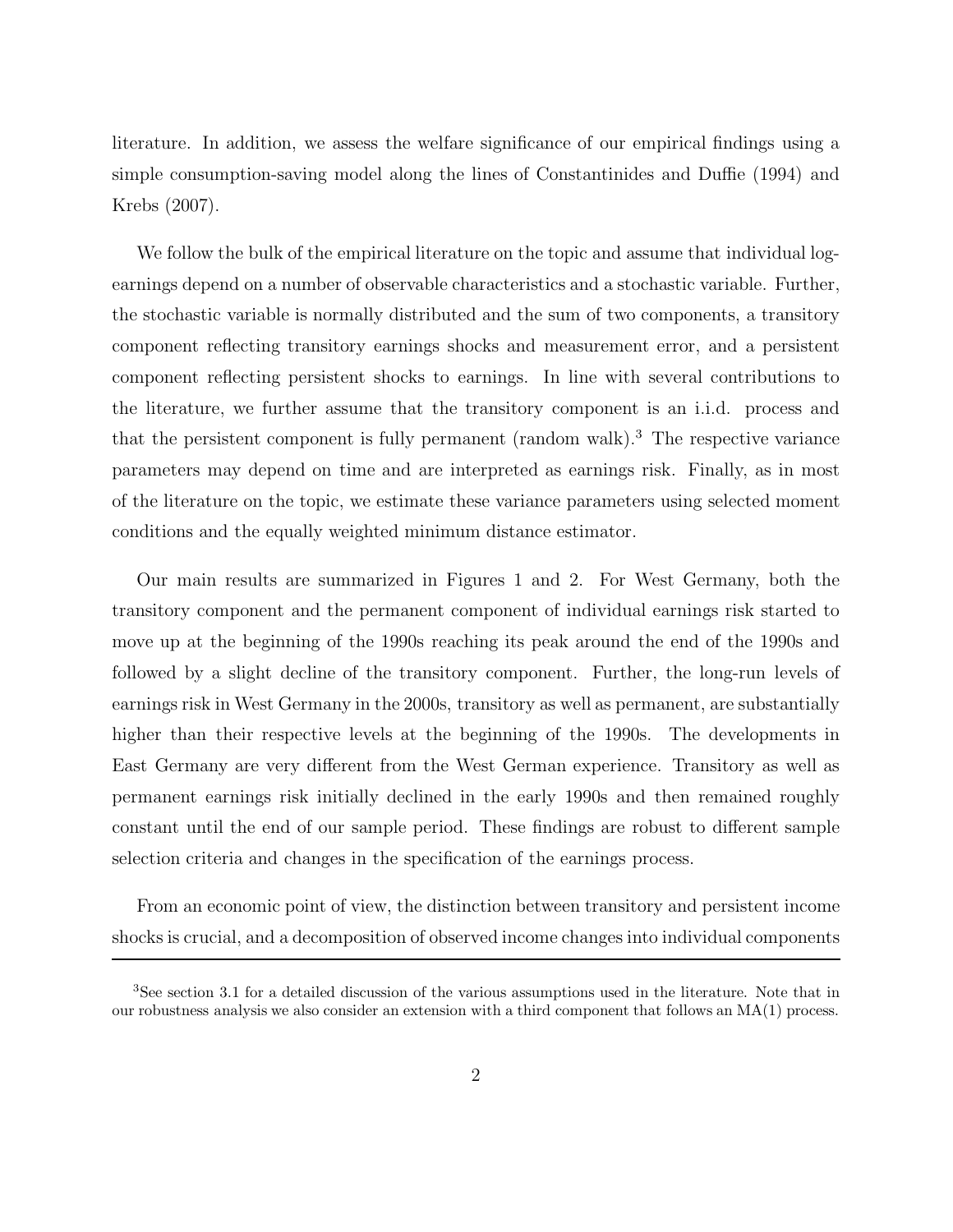literature. In addition, we assess the welfare significance of our empirical findings using a simple consumption-saving model along the lines of Constantinides and Duffie (1994) and Krebs (2007).

We follow the bulk of the empirical literature on the topic and assume that individual logearnings depend on a number of observable characteristics and a stochastic variable. Further, the stochastic variable is normally distributed and the sum of two components, a transitory component reflecting transitory earnings shocks and measurement error, and a persistent component reflecting persistent shocks to earnings. In line with several contributions to the literature, we further assume that the transitory component is an i.i.d. process and that the persistent component is fully permanent (random walk).<sup>3</sup> The respective variance parameters may depend on time and are interpreted as earnings risk. Finally, as in most of the literature on the topic, we estimate these variance parameters using selected moment conditions and the equally weighted minimum distance estimator.

Our main results are summarized in Figures 1 and 2. For West Germany, both the transitory component and the permanent component of individual earnings risk started to move up at the beginning of the 1990s reaching its peak around the end of the 1990s and followed by a slight decline of the transitory component. Further, the long-run levels of earnings risk in West Germany in the 2000s, transitory as well as permanent, are substantially higher than their respective levels at the beginning of the 1990s. The developments in East Germany are very different from the West German experience. Transitory as well as permanent earnings risk initially declined in the early 1990s and then remained roughly constant until the end of our sample period. These findings are robust to different sample selection criteria and changes in the specification of the earnings process.

From an economic point of view, the distinction between transitory and persistent income shocks is crucial, and a decomposition of observed income changes into individual components

<sup>3</sup>See section 3.1 for a detailed discussion of the various assumptions used in the literature. Note that in our robustness analysis we also consider an extension with a third component that follows an MA(1) process.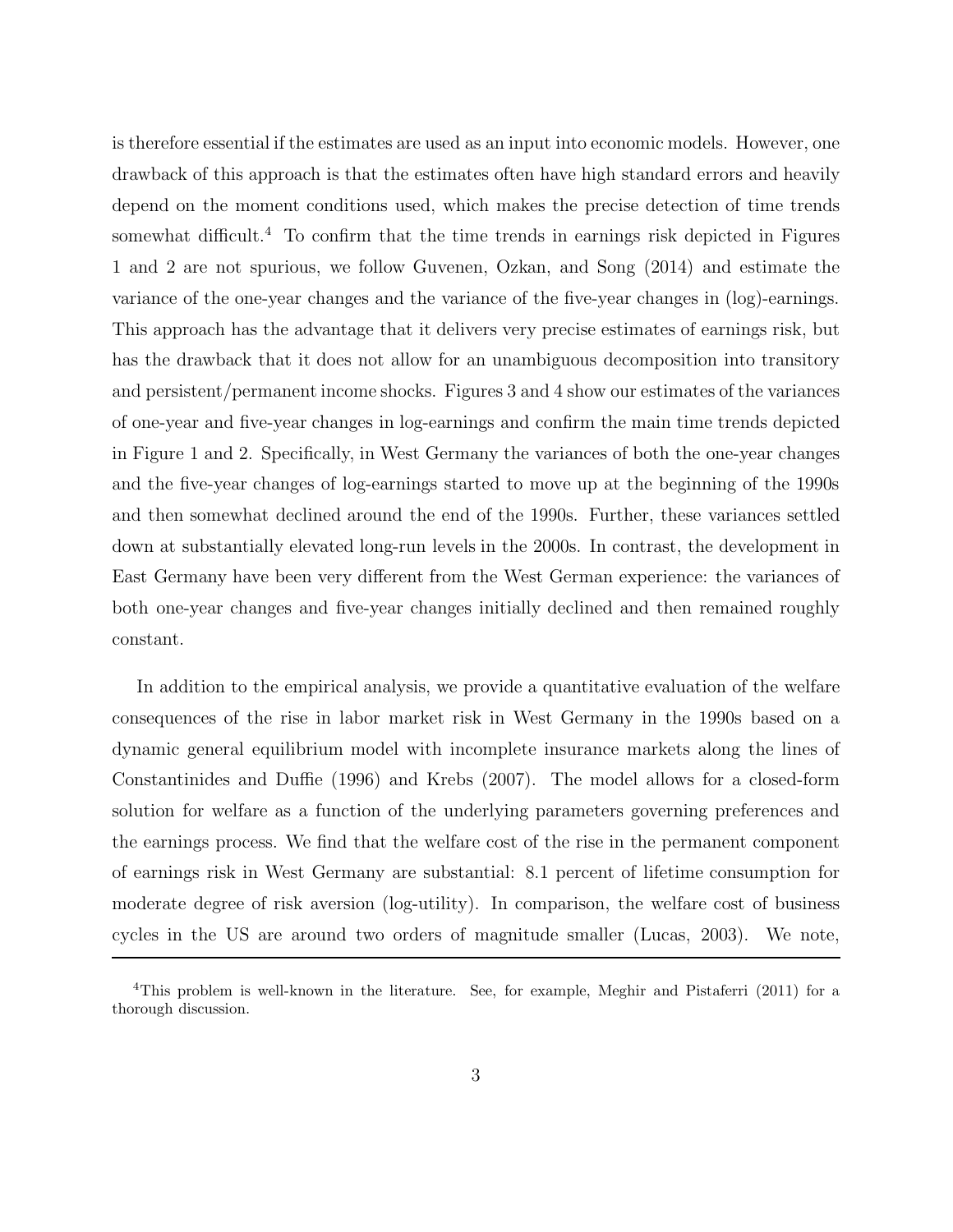is therefore essential if the estimates are used as an input into economic models. However, one drawback of this approach is that the estimates often have high standard errors and heavily depend on the moment conditions used, which makes the precise detection of time trends somewhat difficult.<sup>4</sup> To confirm that the time trends in earnings risk depicted in Figures 1 and 2 are not spurious, we follow Guvenen, Ozkan, and Song (2014) and estimate the variance of the one-year changes and the variance of the five-year changes in (log)-earnings. This approach has the advantage that it delivers very precise estimates of earnings risk, but has the drawback that it does not allow for an unambiguous decomposition into transitory and persistent/permanent income shocks. Figures 3 and 4 show our estimates of the variances of one-year and five-year changes in log-earnings and confirm the main time trends depicted in Figure 1 and 2. Specifically, in West Germany the variances of both the one-year changes and the five-year changes of log-earnings started to move up at the beginning of the 1990s and then somewhat declined around the end of the 1990s. Further, these variances settled down at substantially elevated long-run levels in the 2000s. In contrast, the development in East Germany have been very different from the West German experience: the variances of both one-year changes and five-year changes initially declined and then remained roughly constant.

In addition to the empirical analysis, we provide a quantitative evaluation of the welfare consequences of the rise in labor market risk in West Germany in the 1990s based on a dynamic general equilibrium model with incomplete insurance markets along the lines of Constantinides and Duffie (1996) and Krebs (2007). The model allows for a closed-form solution for welfare as a function of the underlying parameters governing preferences and the earnings process. We find that the welfare cost of the rise in the permanent component of earnings risk in West Germany are substantial: 8.1 percent of lifetime consumption for moderate degree of risk aversion (log-utility). In comparison, the welfare cost of business cycles in the US are around two orders of magnitude smaller (Lucas, 2003). We note,

<sup>4</sup>This problem is well-known in the literature. See, for example, Meghir and Pistaferri (2011) for a thorough discussion.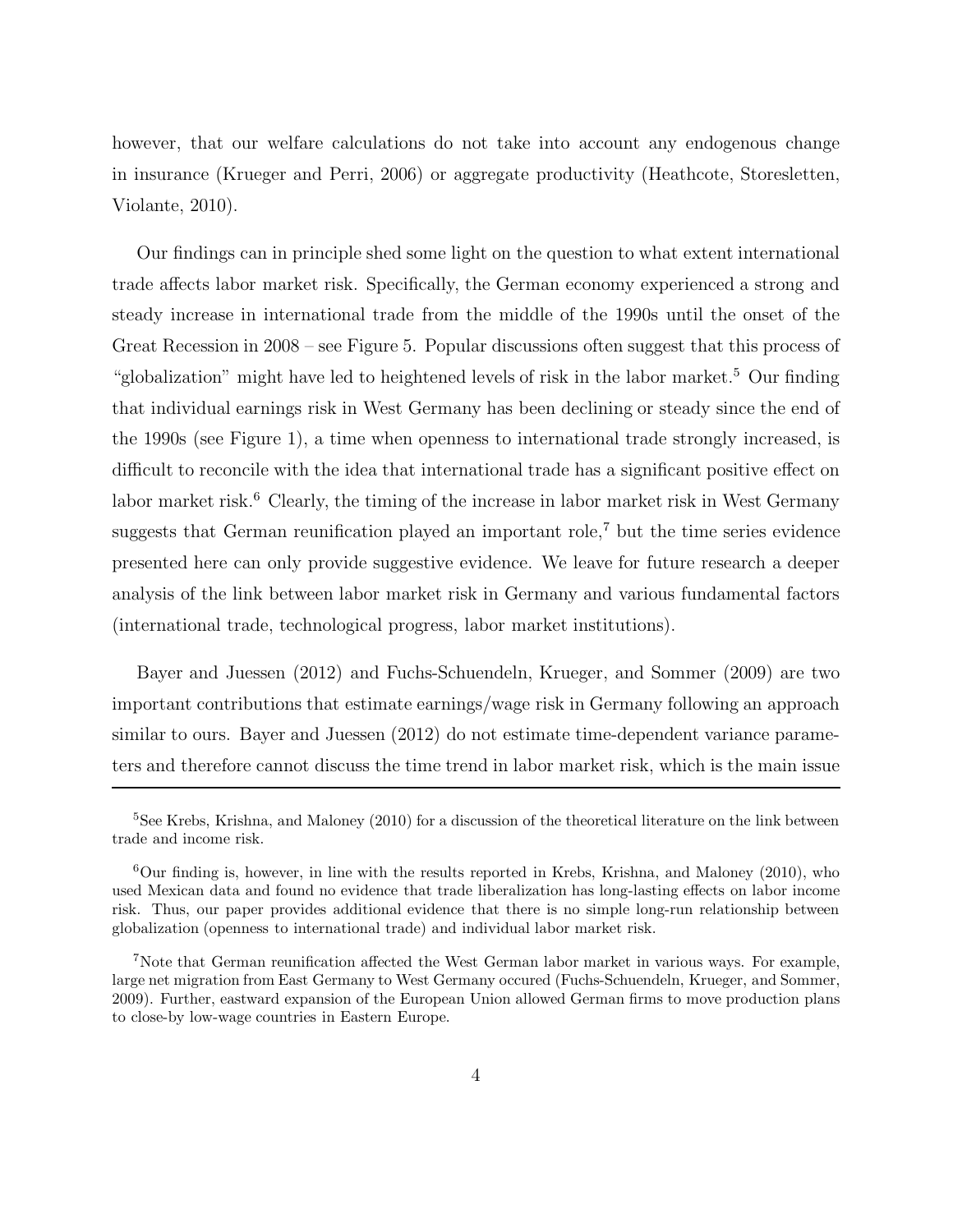however, that our welfare calculations do not take into account any endogenous change in insurance (Krueger and Perri, 2006) or aggregate productivity (Heathcote, Storesletten, Violante, 2010).

Our findings can in principle shed some light on the question to what extent international trade affects labor market risk. Specifically, the German economy experienced a strong and steady increase in international trade from the middle of the 1990s until the onset of the Great Recession in 2008 – see Figure 5. Popular discussions often suggest that this process of "globalization" might have led to heightened levels of risk in the labor market.<sup>5</sup> Our finding that individual earnings risk in West Germany has been declining or steady since the end of the 1990s (see Figure 1), a time when openness to international trade strongly increased, is difficult to reconcile with the idea that international trade has a significant positive effect on labor market risk.<sup>6</sup> Clearly, the timing of the increase in labor market risk in West Germany suggests that German reunification played an important role,<sup> $7$ </sup> but the time series evidence presented here can only provide suggestive evidence. We leave for future research a deeper analysis of the link between labor market risk in Germany and various fundamental factors (international trade, technological progress, labor market institutions).

Bayer and Juessen (2012) and Fuchs-Schuendeln, Krueger, and Sommer (2009) are two important contributions that estimate earnings/wage risk in Germany following an approach similar to ours. Bayer and Juessen (2012) do not estimate time-dependent variance parameters and therefore cannot discuss the time trend in labor market risk, which is the main issue

<sup>&</sup>lt;sup>5</sup>See Krebs, Krishna, and Maloney (2010) for a discussion of the theoretical literature on the link between trade and income risk.

 $6$ Our finding is, however, in line with the results reported in Krebs, Krishna, and Maloney (2010), who used Mexican data and found no evidence that trade liberalization has long-lasting effects on labor income risk. Thus, our paper provides additional evidence that there is no simple long-run relationship between globalization (openness to international trade) and individual labor market risk.

<sup>7</sup>Note that German reunification affected the West German labor market in various ways. For example, large net migration from East Germany to West Germany occured (Fuchs-Schuendeln, Krueger, and Sommer, 2009). Further, eastward expansion of the European Union allowed German firms to move production plans to close-by low-wage countries in Eastern Europe.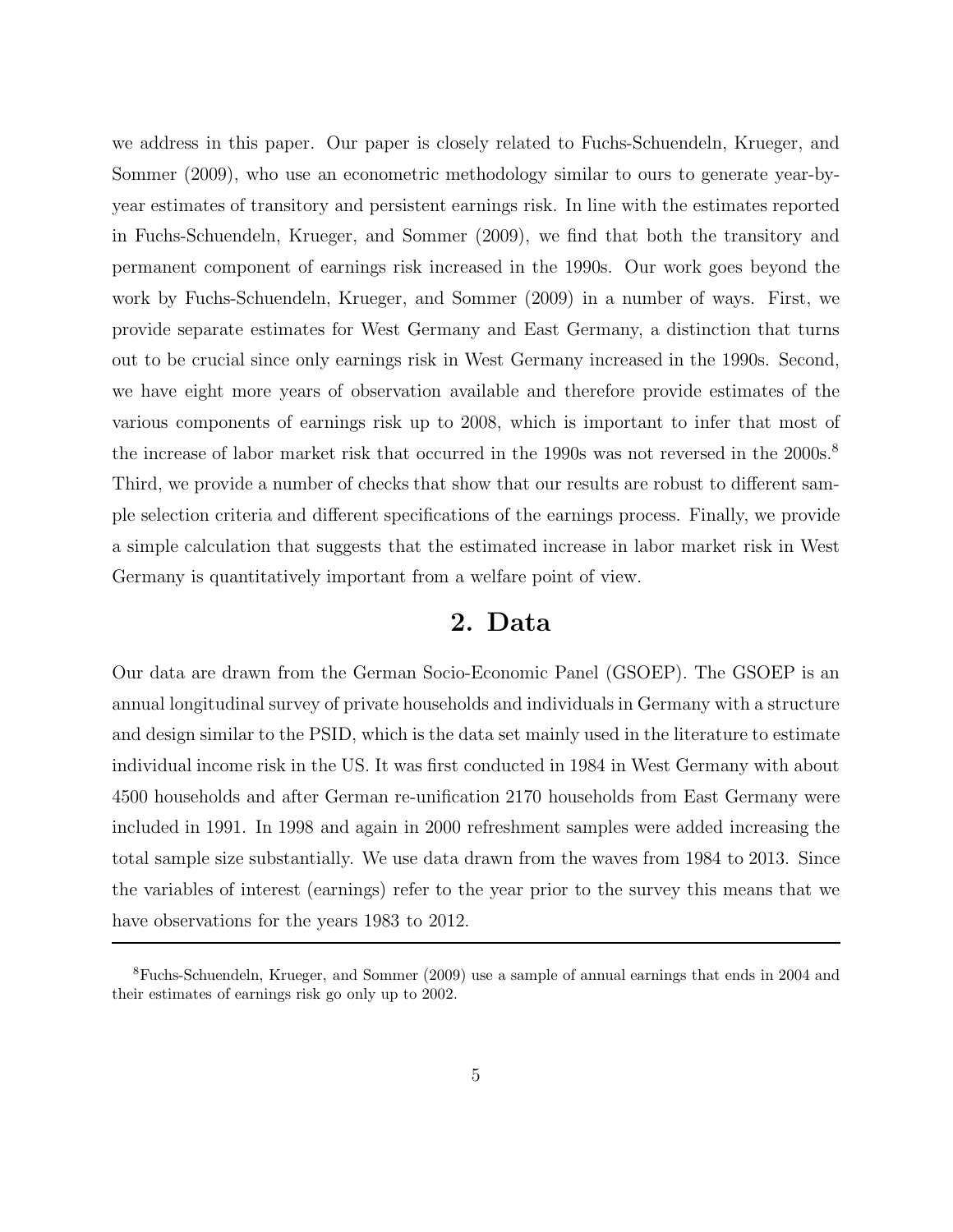we address in this paper. Our paper is closely related to Fuchs-Schuendeln, Krueger, and Sommer (2009), who use an econometric methodology similar to ours to generate year-byyear estimates of transitory and persistent earnings risk. In line with the estimates reported in Fuchs-Schuendeln, Krueger, and Sommer (2009), we find that both the transitory and permanent component of earnings risk increased in the 1990s. Our work goes beyond the work by Fuchs-Schuendeln, Krueger, and Sommer (2009) in a number of ways. First, we provide separate estimates for West Germany and East Germany, a distinction that turns out to be crucial since only earnings risk in West Germany increased in the 1990s. Second, we have eight more years of observation available and therefore provide estimates of the various components of earnings risk up to 2008, which is important to infer that most of the increase of labor market risk that occurred in the 1990s was not reversed in the 2000s.<sup>8</sup> Third, we provide a number of checks that show that our results are robust to different sample selection criteria and different specifications of the earnings process. Finally, we provide a simple calculation that suggests that the estimated increase in labor market risk in West Germany is quantitatively important from a welfare point of view.

## **2. Data**

Our data are drawn from the German Socio-Economic Panel (GSOEP). The GSOEP is an annual longitudinal survey of private households and individuals in Germany with a structure and design similar to the PSID, which is the data set mainly used in the literature to estimate individual income risk in the US. It was first conducted in 1984 in West Germany with about 4500 households and after German re-unification 2170 households from East Germany were included in 1991. In 1998 and again in 2000 refreshment samples were added increasing the total sample size substantially. We use data drawn from the waves from 1984 to 2013. Since the variables of interest (earnings) refer to the year prior to the survey this means that we have observations for the years 1983 to 2012.

<sup>8</sup>Fuchs-Schuendeln, Krueger, and Sommer (2009) use a sample of annual earnings that ends in 2004 and their estimates of earnings risk go only up to 2002.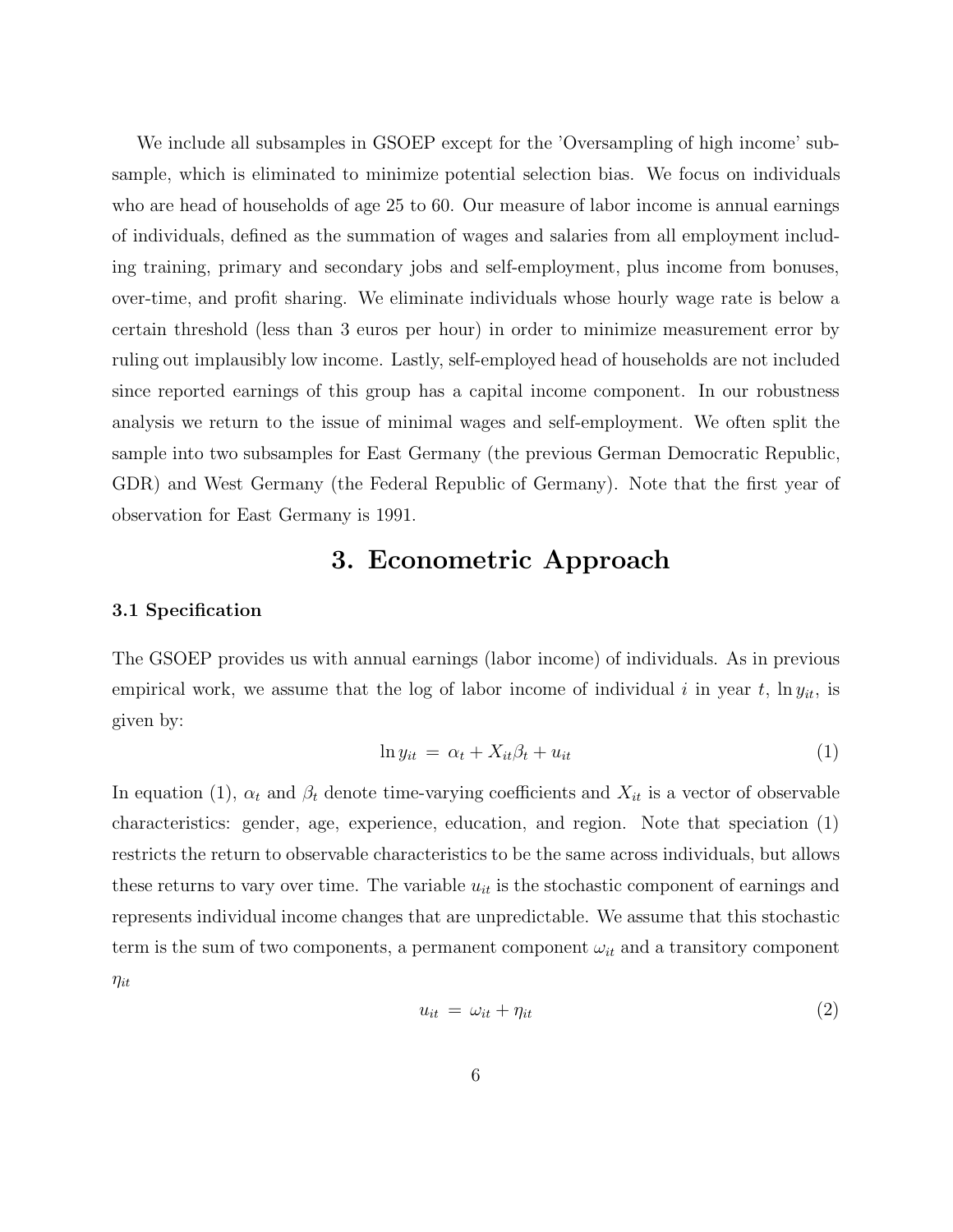We include all subsamples in GSOEP except for the 'Oversampling of high income' subsample, which is eliminated to minimize potential selection bias. We focus on individuals who are head of households of age 25 to 60. Our measure of labor income is annual earnings of individuals, defined as the summation of wages and salaries from all employment including training, primary and secondary jobs and self-employment, plus income from bonuses, over-time, and profit sharing. We eliminate individuals whose hourly wage rate is below a certain threshold (less than 3 euros per hour) in order to minimize measurement error by ruling out implausibly low income. Lastly, self-employed head of households are not included since reported earnings of this group has a capital income component. In our robustness analysis we return to the issue of minimal wages and self-employment. We often split the sample into two subsamples for East Germany (the previous German Democratic Republic, GDR) and West Germany (the Federal Republic of Germany). Note that the first year of observation for East Germany is 1991.

## **3. Econometric Approach**

### **3.1 Specification**

The GSOEP provides us with annual earnings (labor income) of individuals. As in previous empirical work, we assume that the log of labor income of individual i in year t,  $\ln y_{it}$ , is given by:

$$
\ln y_{it} = \alpha_t + X_{it}\beta_t + u_{it} \tag{1}
$$

In equation (1),  $\alpha_t$  and  $\beta_t$  denote time-varying coefficients and  $X_{it}$  is a vector of observable characteristics: gender, age, experience, education, and region. Note that speciation (1) restricts the return to observable characteristics to be the same across individuals, but allows these returns to vary over time. The variable  $u_{it}$  is the stochastic component of earnings and represents individual income changes that are unpredictable. We assume that this stochastic term is the sum of two components, a permanent component  $\omega_{it}$  and a transitory component  $\eta_{it}$ 

$$
u_{it} = \omega_{it} + \eta_{it} \tag{2}
$$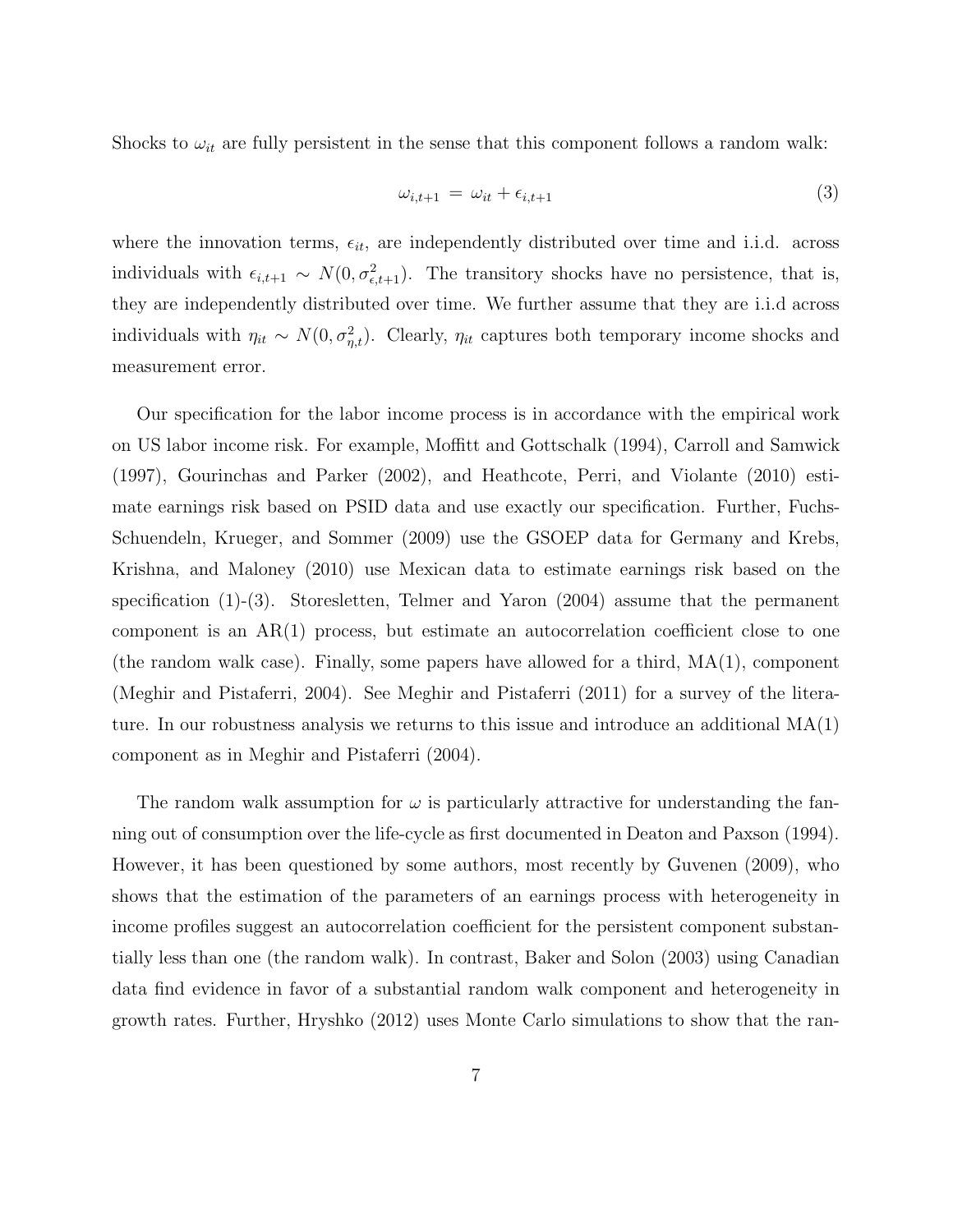Shocks to  $\omega_{it}$  are fully persistent in the sense that this component follows a random walk:

$$
\omega_{i,t+1} = \omega_{it} + \epsilon_{i,t+1} \tag{3}
$$

where the innovation terms,  $\epsilon_{it}$ , are independently distributed over time and i.i.d. across individuals with  $\epsilon_{i,t+1} \sim N(0, \sigma_{\epsilon,t+1}^2)$ . The transitory shocks have no persistence, that is, they are independently distributed over time. We further assume that they are i.i.d across individuals with  $\eta_{it} \sim N(0, \sigma_{\eta,t}^2)$ . Clearly,  $\eta_{it}$  captures both temporary income shocks and measurement error.

Our specification for the labor income process is in accordance with the empirical work on US labor income risk. For example, Moffitt and Gottschalk (1994), Carroll and Samwick (1997), Gourinchas and Parker (2002), and Heathcote, Perri, and Violante (2010) estimate earnings risk based on PSID data and use exactly our specification. Further, Fuchs-Schuendeln, Krueger, and Sommer (2009) use the GSOEP data for Germany and Krebs, Krishna, and Maloney (2010) use Mexican data to estimate earnings risk based on the specification (1)-(3). Storesletten, Telmer and Yaron (2004) assume that the permanent component is an  $AR(1)$  process, but estimate an autocorrelation coefficient close to one (the random walk case). Finally, some papers have allowed for a third,  $MA(1)$ , component (Meghir and Pistaferri, 2004). See Meghir and Pistaferri (2011) for a survey of the literature. In our robustness analysis we returns to this issue and introduce an additional MA(1) component as in Meghir and Pistaferri (2004).

The random walk assumption for  $\omega$  is particularly attractive for understanding the fanning out of consumption over the life-cycle as first documented in Deaton and Paxson (1994). However, it has been questioned by some authors, most recently by Guvenen (2009), who shows that the estimation of the parameters of an earnings process with heterogeneity in income profiles suggest an autocorrelation coefficient for the persistent component substantially less than one (the random walk). In contrast, Baker and Solon (2003) using Canadian data find evidence in favor of a substantial random walk component and heterogeneity in growth rates. Further, Hryshko (2012) uses Monte Carlo simulations to show that the ran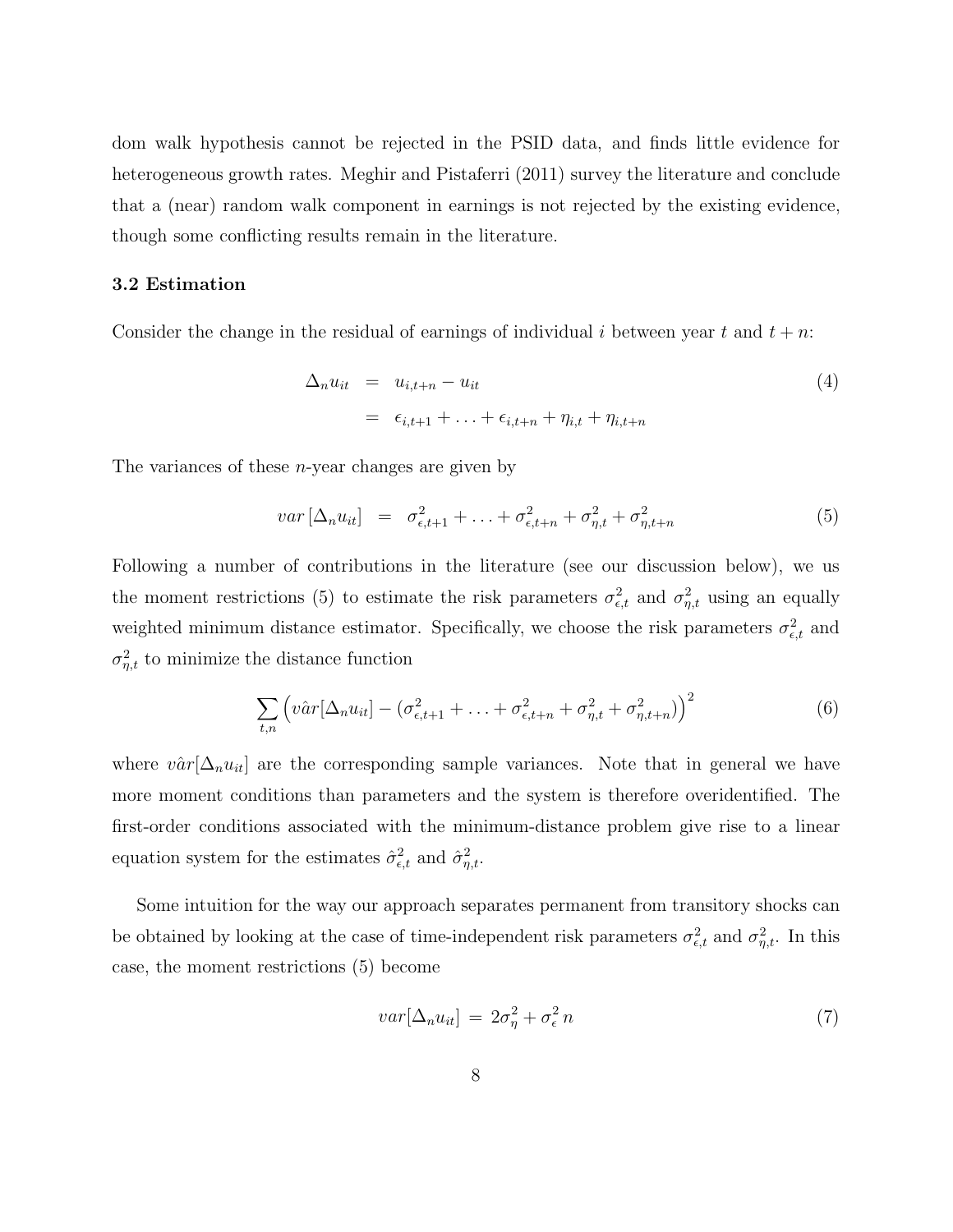dom walk hypothesis cannot be rejected in the PSID data, and finds little evidence for heterogeneous growth rates. Meghir and Pistaferri (2011) survey the literature and conclude that a (near) random walk component in earnings is not rejected by the existing evidence, though some conflicting results remain in the literature.

### **3.2 Estimation**

Consider the change in the residual of earnings of individual i between year t and  $t + n$ :

$$
\Delta_n u_{it} = u_{i,t+n} - u_{it}
$$
\n
$$
= \epsilon_{i,t+1} + \ldots + \epsilon_{i,t+n} + \eta_{i,t} + \eta_{i,t+n}
$$
\n
$$
(4)
$$

The variances of these *n*-year changes are given by

$$
var\left[\Delta_n u_{it}\right] = \sigma_{\epsilon, t+1}^2 + \ldots + \sigma_{\epsilon, t+n}^2 + \sigma_{\eta, t}^2 + \sigma_{\eta, t+n}^2 \tag{5}
$$

Following a number of contributions in the literature (see our discussion below), we us the moment restrictions (5) to estimate the risk parameters  $\sigma_{\epsilon,t}^2$  and  $\sigma_{\eta,t}^2$  using an equally weighted minimum distance estimator. Specifically, we choose the risk parameters  $\sigma_{\epsilon,t}^2$  and  $\sigma_{\eta,t}^2$  to minimize the distance function

$$
\sum_{t,n} \left( v \hat{a} r [\Delta_n u_{it}] - \left( \sigma_{\epsilon,t+1}^2 + \ldots + \sigma_{\epsilon,t+n}^2 + \sigma_{\eta,t}^2 + \sigma_{\eta,t+n}^2 \right) \right)^2 \tag{6}
$$

where  $v\hat{a}r[\Delta_n u_{it}]$  are the corresponding sample variances. Note that in general we have more moment conditions than parameters and the system is therefore overidentified. The first-order conditions associated with the minimum-distance problem give rise to a linear equation system for the estimates  $\hat{\sigma}_{\epsilon,t}^2$  and  $\hat{\sigma}_{\eta,t}^2$ .

Some intuition for the way our approach separates permanent from transitory shocks can be obtained by looking at the case of time-independent risk parameters  $\sigma_{\epsilon,t}^2$  and  $\sigma_{\eta,t}^2$ . In this case, the moment restrictions (5) become

$$
var[\Delta_n u_{it}] = 2\sigma_\eta^2 + \sigma_\epsilon^2 n \tag{7}
$$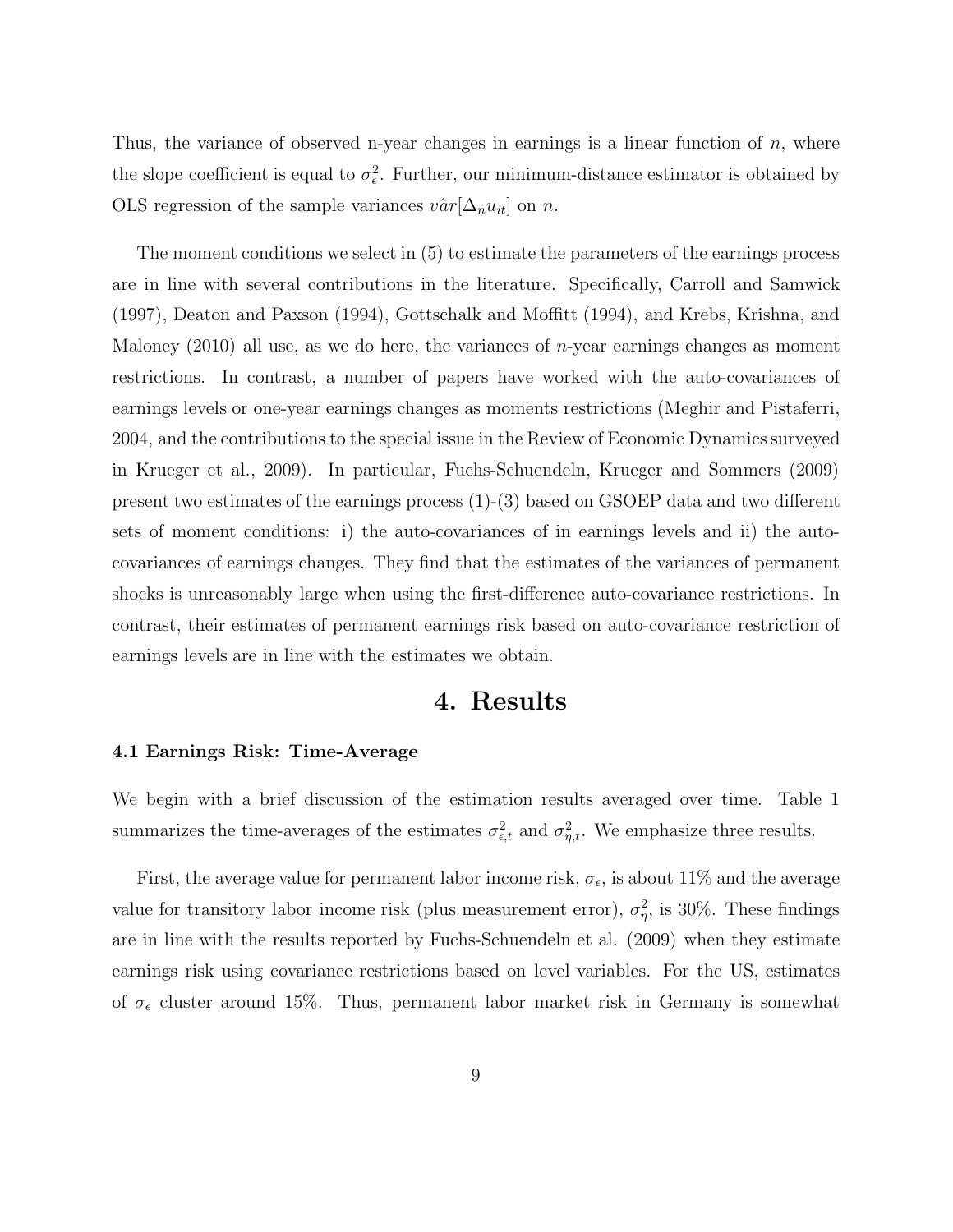Thus, the variance of observed n-year changes in earnings is a linear function of  $n$ , where the slope coefficient is equal to  $\sigma_{\epsilon}^2$ . Further, our minimum-distance estimator is obtained by OLS regression of the sample variances  $v\hat{a}r[\Delta_n u_{it}]$  on n.

The moment conditions we select in (5) to estimate the parameters of the earnings process are in line with several contributions in the literature. Specifically, Carroll and Samwick (1997), Deaton and Paxson (1994), Gottschalk and Moffitt (1994), and Krebs, Krishna, and Maloney  $(2010)$  all use, as we do here, the variances of *n*-year earnings changes as moment restrictions. In contrast, a number of papers have worked with the auto-covariances of earnings levels or one-year earnings changes as moments restrictions (Meghir and Pistaferri, 2004, and the contributions to the special issue in the Review of Economic Dynamics surveyed in Krueger et al., 2009). In particular, Fuchs-Schuendeln, Krueger and Sommers (2009) present two estimates of the earnings process (1)-(3) based on GSOEP data and two different sets of moment conditions: i) the auto-covariances of in earnings levels and ii) the autocovariances of earnings changes. They find that the estimates of the variances of permanent shocks is unreasonably large when using the first-difference auto-covariance restrictions. In contrast, their estimates of permanent earnings risk based on auto-covariance restriction of earnings levels are in line with the estimates we obtain.

## **4. Results**

### **4.1 Earnings Risk: Time-Average**

We begin with a brief discussion of the estimation results averaged over time. Table 1 summarizes the time-averages of the estimates  $\sigma_{\epsilon,t}^2$  and  $\sigma_{\eta,t}^2$ . We emphasize three results.

First, the average value for permanent labor income risk,  $\sigma_{\epsilon}$ , is about 11% and the average value for transitory labor income risk (plus measurement error),  $\sigma_{\eta}^2$ , is 30%. These findings are in line with the results reported by Fuchs-Schuendeln et al. (2009) when they estimate earnings risk using covariance restrictions based on level variables. For the US, estimates of  $\sigma_{\epsilon}$  cluster around 15%. Thus, permanent labor market risk in Germany is somewhat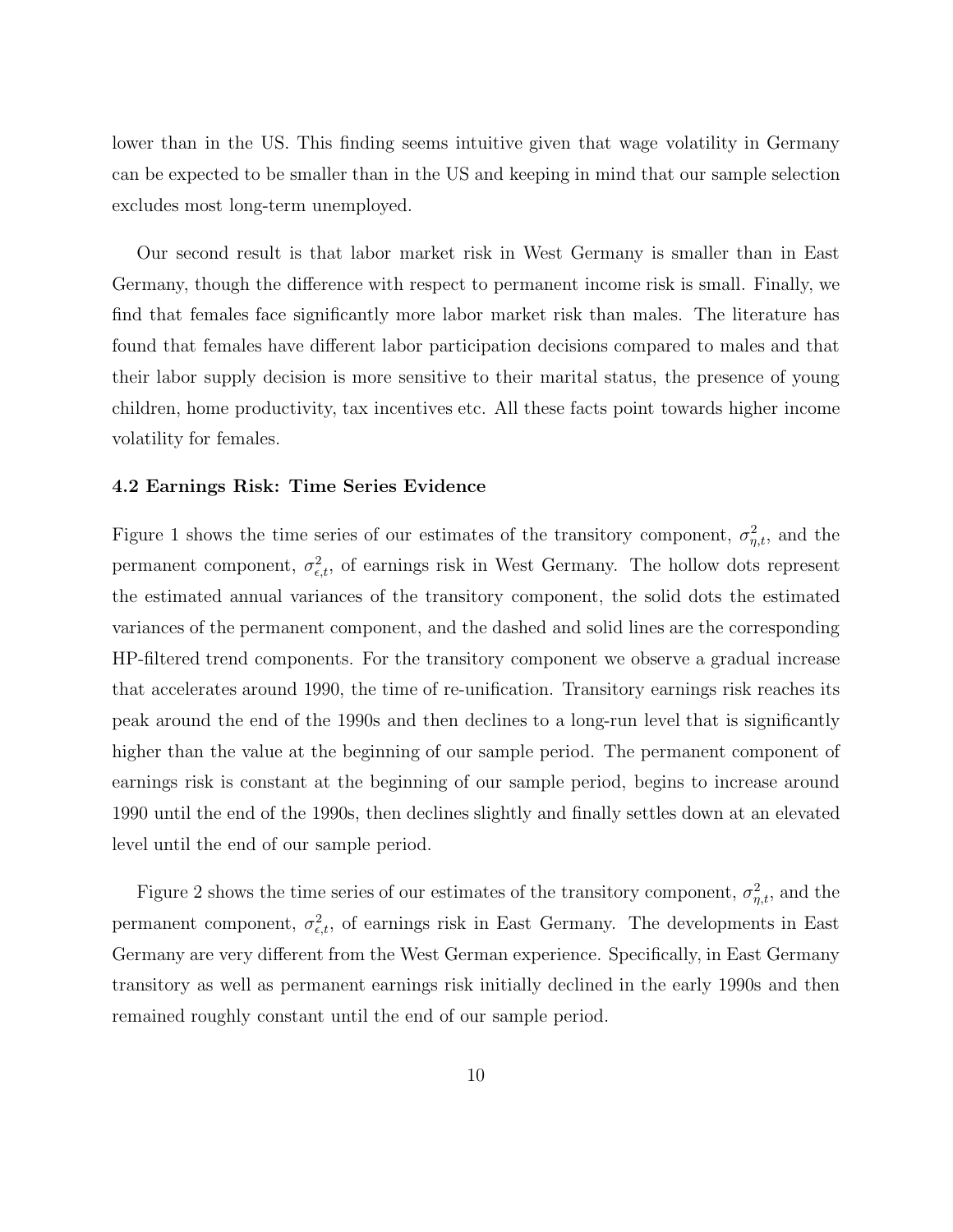lower than in the US. This finding seems intuitive given that wage volatility in Germany can be expected to be smaller than in the US and keeping in mind that our sample selection excludes most long-term unemployed.

Our second result is that labor market risk in West Germany is smaller than in East Germany, though the difference with respect to permanent income risk is small. Finally, we find that females face significantly more labor market risk than males. The literature has found that females have different labor participation decisions compared to males and that their labor supply decision is more sensitive to their marital status, the presence of young children, home productivity, tax incentives etc. All these facts point towards higher income volatility for females.

### **4.2 Earnings Risk: Time Series Evidence**

Figure 1 shows the time series of our estimates of the transitory component,  $\sigma_{\eta,t}^2$ , and the permanent component,  $\sigma_{\epsilon,t}^2$ , of earnings risk in West Germany. The hollow dots represent the estimated annual variances of the transitory component, the solid dots the estimated variances of the permanent component, and the dashed and solid lines are the corresponding HP-filtered trend components. For the transitory component we observe a gradual increase that accelerates around 1990, the time of re-unification. Transitory earnings risk reaches its peak around the end of the 1990s and then declines to a long-run level that is significantly higher than the value at the beginning of our sample period. The permanent component of earnings risk is constant at the beginning of our sample period, begins to increase around 1990 until the end of the 1990s, then declines slightly and finally settles down at an elevated level until the end of our sample period.

Figure 2 shows the time series of our estimates of the transitory component,  $\sigma_{\eta,t}^2$ , and the permanent component,  $\sigma_{\epsilon,t}^2$ , of earnings risk in East Germany. The developments in East Germany are very different from the West German experience. Specifically, in East Germany transitory as well as permanent earnings risk initially declined in the early 1990s and then remained roughly constant until the end of our sample period.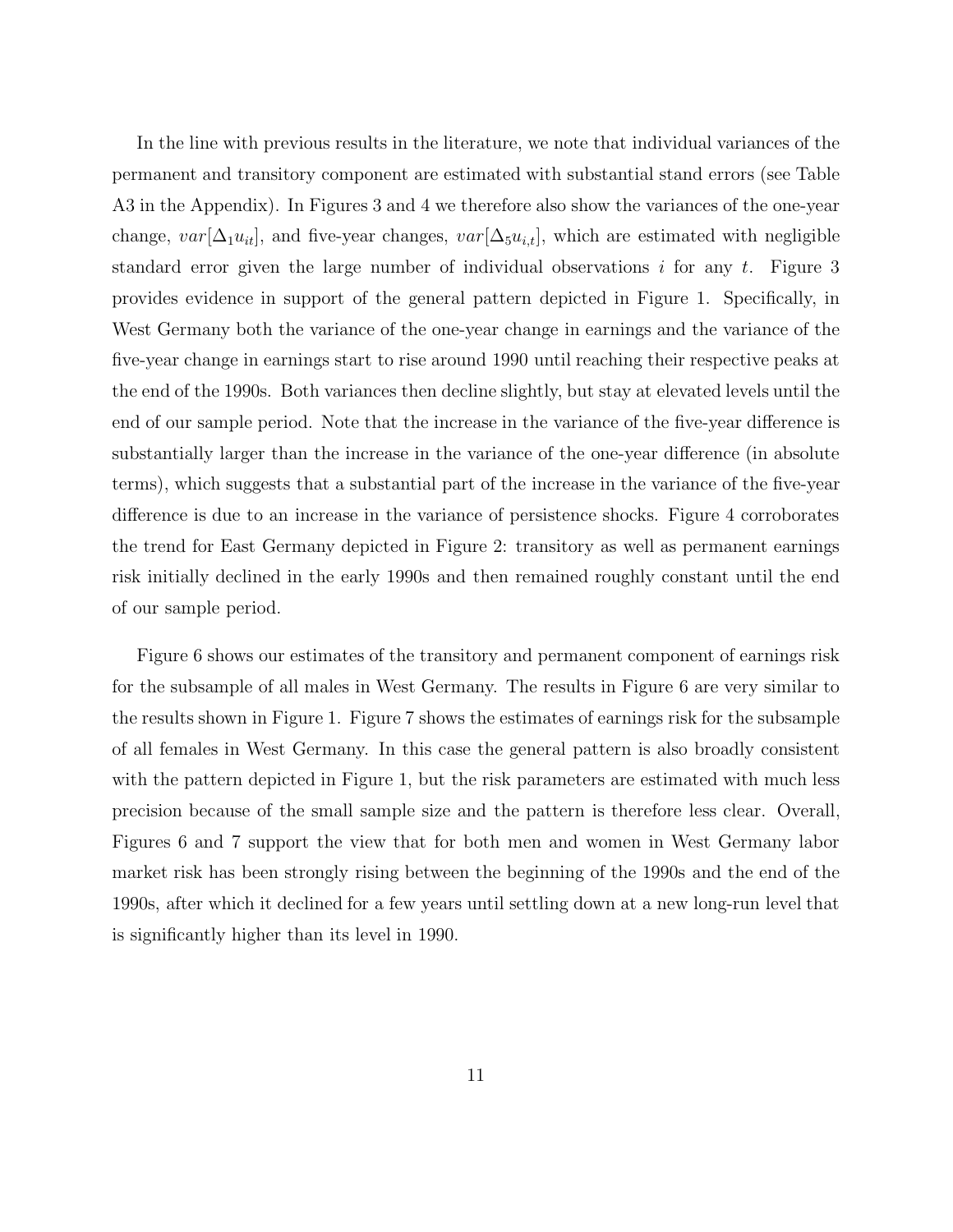In the line with previous results in the literature, we note that individual variances of the permanent and transitory component are estimated with substantial stand errors (see Table A3 in the Appendix). In Figures 3 and 4 we therefore also show the variances of the one-year change,  $var[\Delta_1 u_{it}]$ , and five-year changes,  $var[\Delta_5 u_{i,t}]$ , which are estimated with negligible standard error given the large number of individual observations i for any  $t$ . Figure 3 provides evidence in support of the general pattern depicted in Figure 1. Specifically, in West Germany both the variance of the one-year change in earnings and the variance of the five-year change in earnings start to rise around 1990 until reaching their respective peaks at the end of the 1990s. Both variances then decline slightly, but stay at elevated levels until the end of our sample period. Note that the increase in the variance of the five-year difference is substantially larger than the increase in the variance of the one-year difference (in absolute terms), which suggests that a substantial part of the increase in the variance of the five-year difference is due to an increase in the variance of persistence shocks. Figure 4 corroborates the trend for East Germany depicted in Figure 2: transitory as well as permanent earnings risk initially declined in the early 1990s and then remained roughly constant until the end of our sample period.

Figure 6 shows our estimates of the transitory and permanent component of earnings risk for the subsample of all males in West Germany. The results in Figure 6 are very similar to the results shown in Figure 1. Figure 7 shows the estimates of earnings risk for the subsample of all females in West Germany. In this case the general pattern is also broadly consistent with the pattern depicted in Figure 1, but the risk parameters are estimated with much less precision because of the small sample size and the pattern is therefore less clear. Overall, Figures 6 and 7 support the view that for both men and women in West Germany labor market risk has been strongly rising between the beginning of the 1990s and the end of the 1990s, after which it declined for a few years until settling down at a new long-run level that is significantly higher than its level in 1990.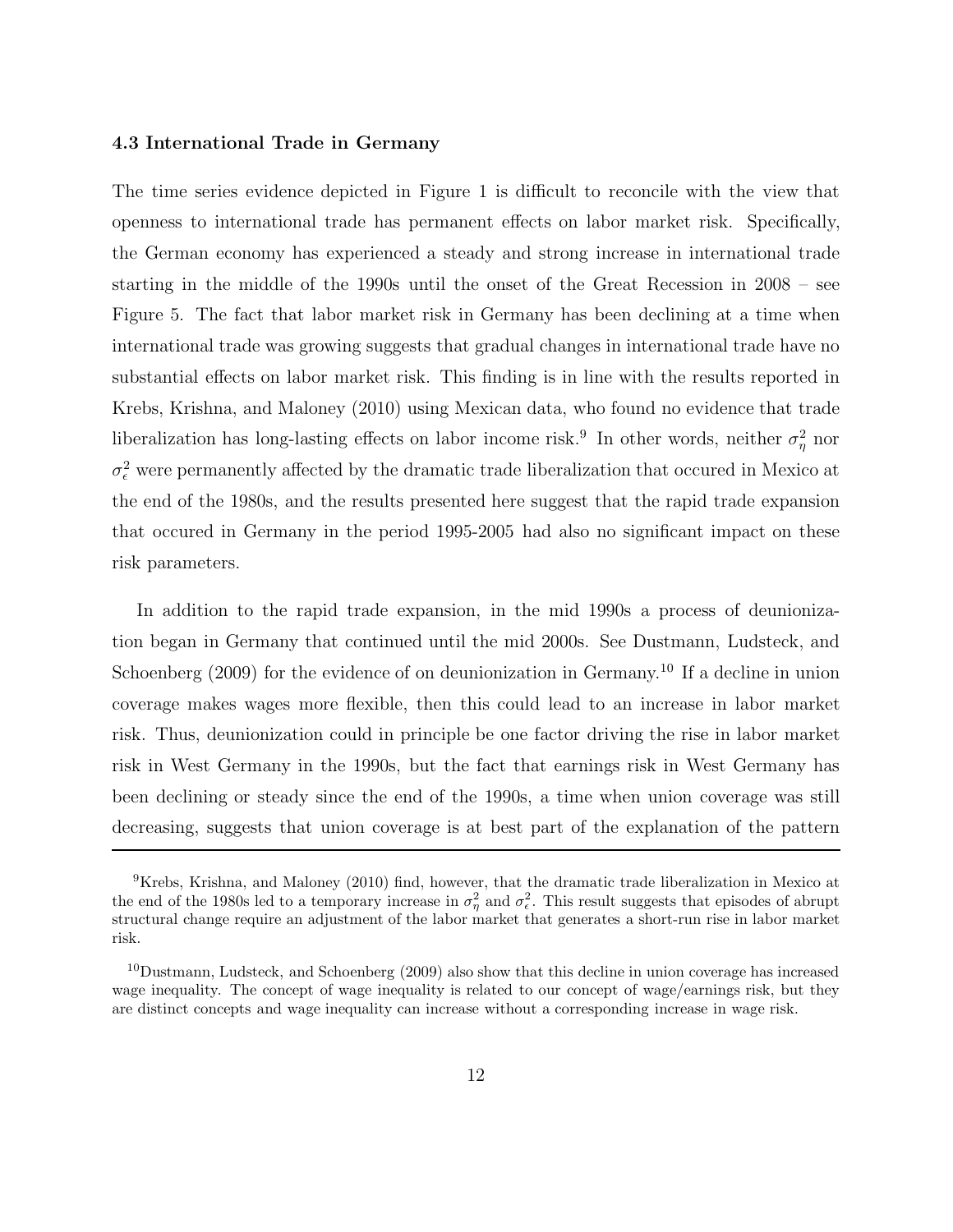### **4.3 International Trade in Germany**

The time series evidence depicted in Figure 1 is difficult to reconcile with the view that openness to international trade has permanent effects on labor market risk. Specifically, the German economy has experienced a steady and strong increase in international trade starting in the middle of the 1990s until the onset of the Great Recession in 2008 – see Figure 5. The fact that labor market risk in Germany has been declining at a time when international trade was growing suggests that gradual changes in international trade have no substantial effects on labor market risk. This finding is in line with the results reported in Krebs, Krishna, and Maloney (2010) using Mexican data, who found no evidence that trade liberalization has long-lasting effects on labor income risk.<sup>9</sup> In other words, neither  $\sigma_{\eta}^2$  nor  $\sigma_{\epsilon}^2$  were permanently affected by the dramatic trade liberalization that occured in Mexico at the end of the 1980s, and the results presented here suggest that the rapid trade expansion that occured in Germany in the period 1995-2005 had also no significant impact on these risk parameters.

In addition to the rapid trade expansion, in the mid 1990s a process of deunionization began in Germany that continued until the mid 2000s. See Dustmann, Ludsteck, and Schoenberg (2009) for the evidence of on deunionization in Germany.<sup>10</sup> If a decline in union coverage makes wages more flexible, then this could lead to an increase in labor market risk. Thus, deunionization could in principle be one factor driving the rise in labor market risk in West Germany in the 1990s, but the fact that earnings risk in West Germany has been declining or steady since the end of the 1990s, a time when union coverage was still decreasing, suggests that union coverage is at best part of the explanation of the pattern

<sup>&</sup>lt;sup>9</sup>Krebs, Krishna, and Maloney (2010) find, however, that the dramatic trade liberalization in Mexico at the end of the 1980s led to a temporary increase in  $\sigma_{\eta}^2$  and  $\sigma_{\epsilon}^2$ . This result suggests that episodes of abrupt structural change require an adjustment of the labor market that generates a short-run rise in labor market risk.

<sup>10</sup>Dustmann, Ludsteck, and Schoenberg (2009) also show that this decline in union coverage has increased wage inequality. The concept of wage inequality is related to our concept of wage/earnings risk, but they are distinct concepts and wage inequality can increase without a corresponding increase in wage risk.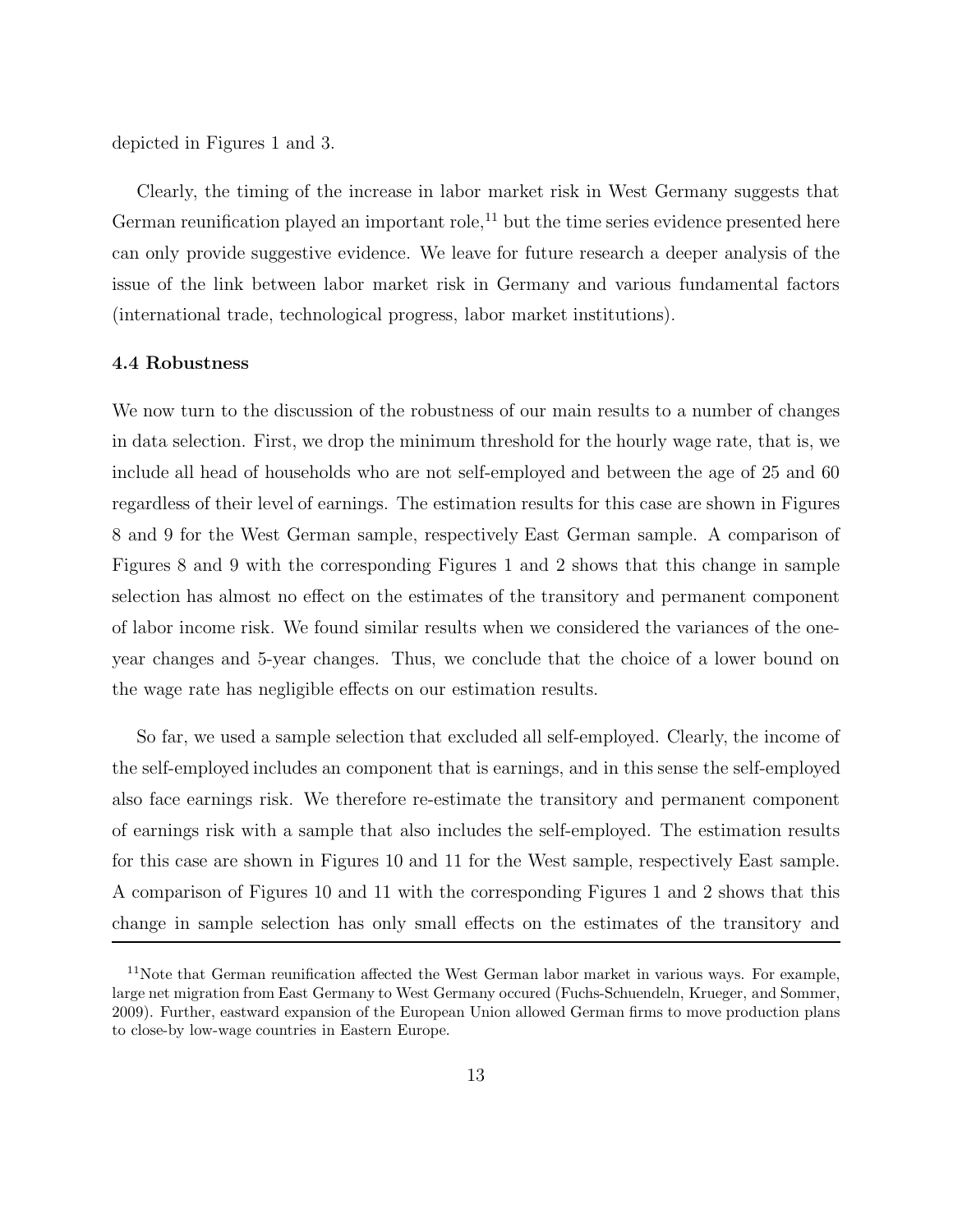depicted in Figures 1 and 3.

Clearly, the timing of the increase in labor market risk in West Germany suggests that German reunification played an important role,<sup>11</sup> but the time series evidence presented here can only provide suggestive evidence. We leave for future research a deeper analysis of the issue of the link between labor market risk in Germany and various fundamental factors (international trade, technological progress, labor market institutions).

### **4.4 Robustness**

We now turn to the discussion of the robustness of our main results to a number of changes in data selection. First, we drop the minimum threshold for the hourly wage rate, that is, we include all head of households who are not self-employed and between the age of 25 and 60 regardless of their level of earnings. The estimation results for this case are shown in Figures 8 and 9 for the West German sample, respectively East German sample. A comparison of Figures 8 and 9 with the corresponding Figures 1 and 2 shows that this change in sample selection has almost no effect on the estimates of the transitory and permanent component of labor income risk. We found similar results when we considered the variances of the oneyear changes and 5-year changes. Thus, we conclude that the choice of a lower bound on the wage rate has negligible effects on our estimation results.

So far, we used a sample selection that excluded all self-employed. Clearly, the income of the self-employed includes an component that is earnings, and in this sense the self-employed also face earnings risk. We therefore re-estimate the transitory and permanent component of earnings risk with a sample that also includes the self-employed. The estimation results for this case are shown in Figures 10 and 11 for the West sample, respectively East sample. A comparison of Figures 10 and 11 with the corresponding Figures 1 and 2 shows that this change in sample selection has only small effects on the estimates of the transitory and

<sup>&</sup>lt;sup>11</sup>Note that German reunification affected the West German labor market in various ways. For example, large net migration from East Germany to West Germany occured (Fuchs-Schuendeln, Krueger, and Sommer, 2009). Further, eastward expansion of the European Union allowed German firms to move production plans to close-by low-wage countries in Eastern Europe.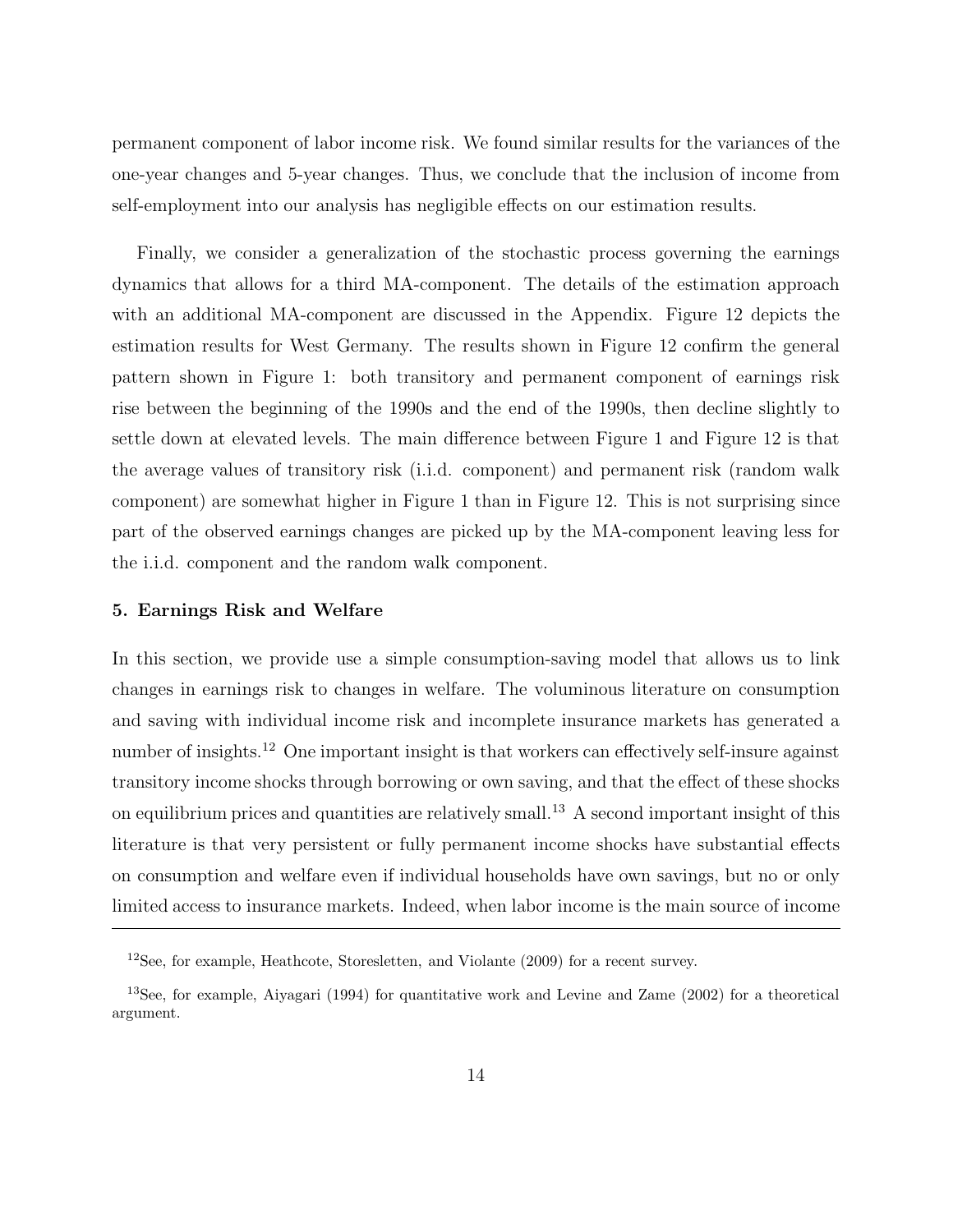permanent component of labor income risk. We found similar results for the variances of the one-year changes and 5-year changes. Thus, we conclude that the inclusion of income from self-employment into our analysis has negligible effects on our estimation results.

Finally, we consider a generalization of the stochastic process governing the earnings dynamics that allows for a third MA-component. The details of the estimation approach with an additional MA-component are discussed in the Appendix. Figure 12 depicts the estimation results for West Germany. The results shown in Figure 12 confirm the general pattern shown in Figure 1: both transitory and permanent component of earnings risk rise between the beginning of the 1990s and the end of the 1990s, then decline slightly to settle down at elevated levels. The main difference between Figure 1 and Figure 12 is that the average values of transitory risk (i.i.d. component) and permanent risk (random walk component) are somewhat higher in Figure 1 than in Figure 12. This is not surprising since part of the observed earnings changes are picked up by the MA-component leaving less for the i.i.d. component and the random walk component.

### **5. Earnings Risk and Welfare**

In this section, we provide use a simple consumption-saving model that allows us to link changes in earnings risk to changes in welfare. The voluminous literature on consumption and saving with individual income risk and incomplete insurance markets has generated a number of insights.<sup>12</sup> One important insight is that workers can effectively self-insure against transitory income shocks through borrowing or own saving, and that the effect of these shocks on equilibrium prices and quantities are relatively small.<sup>13</sup> A second important insight of this literature is that very persistent or fully permanent income shocks have substantial effects on consumption and welfare even if individual households have own savings, but no or only limited access to insurance markets. Indeed, when labor income is the main source of income

<sup>12</sup>See, for example, Heathcote, Storesletten, and Violante (2009) for a recent survey.

<sup>13</sup>See, for example, Aiyagari (1994) for quantitative work and Levine and Zame (2002) for a theoretical argument.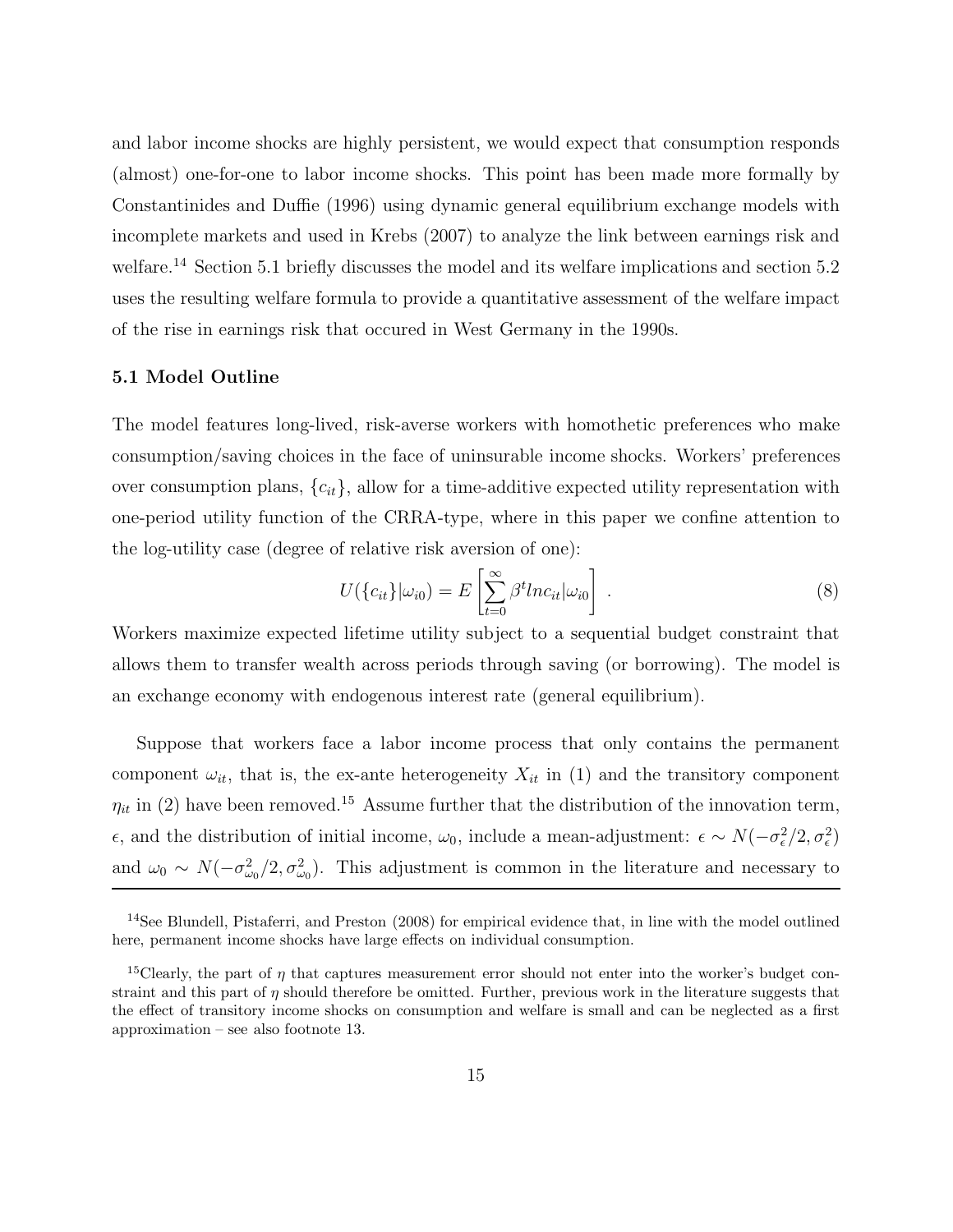and labor income shocks are highly persistent, we would expect that consumption responds (almost) one-for-one to labor income shocks. This point has been made more formally by Constantinides and Duffie (1996) using dynamic general equilibrium exchange models with incomplete markets and used in Krebs (2007) to analyze the link between earnings risk and welfare.<sup>14</sup> Section 5.1 briefly discusses the model and its welfare implications and section 5.2 uses the resulting welfare formula to provide a quantitative assessment of the welfare impact of the rise in earnings risk that occured in West Germany in the 1990s.

### **5.1 Model Outline**

The model features long-lived, risk-averse workers with homothetic preferences who make consumption/saving choices in the face of uninsurable income shocks. Workers' preferences over consumption plans,  ${c_{it}}$ , allow for a time-additive expected utility representation with one-period utility function of the CRRA-type, where in this paper we confine attention to the log-utility case (degree of relative risk aversion of one):

$$
U(\{c_{it}\}|\omega_{i0}) = E\left[\sum_{t=0}^{\infty} \beta^t ln c_{it} |\omega_{i0}\right]. \qquad (8)
$$

Workers maximize expected lifetime utility subject to a sequential budget constraint that allows them to transfer wealth across periods through saving (or borrowing). The model is an exchange economy with endogenous interest rate (general equilibrium).

Suppose that workers face a labor income process that only contains the permanent component  $\omega_{it}$ , that is, the ex-ante heterogeneity  $X_{it}$  in (1) and the transitory component  $\eta_{it}$  in (2) have been removed.<sup>15</sup> Assume further that the distribution of the innovation term,  $\epsilon$ , and the distribution of initial income, ω<sub>0</sub>, include a mean-adjustment:  $\epsilon \sim N(-\sigma_{\epsilon}^2/2, \sigma_{\epsilon}^2)$ and  $\omega_0 \sim N(-\sigma_{\omega_0}^2/2, \sigma_{\omega_0}^2)$ . This adjustment is common in the literature and necessary to

<sup>14</sup>See Blundell, Pistaferri, and Preston (2008) for empirical evidence that, in line with the model outlined here, permanent income shocks have large effects on individual consumption.

<sup>&</sup>lt;sup>15</sup>Clearly, the part of  $\eta$  that captures measurement error should not enter into the worker's budget constraint and this part of  $\eta$  should therefore be omitted. Further, previous work in the literature suggests that the effect of transitory income shocks on consumption and welfare is small and can be neglected as a first approximation – see also footnote 13.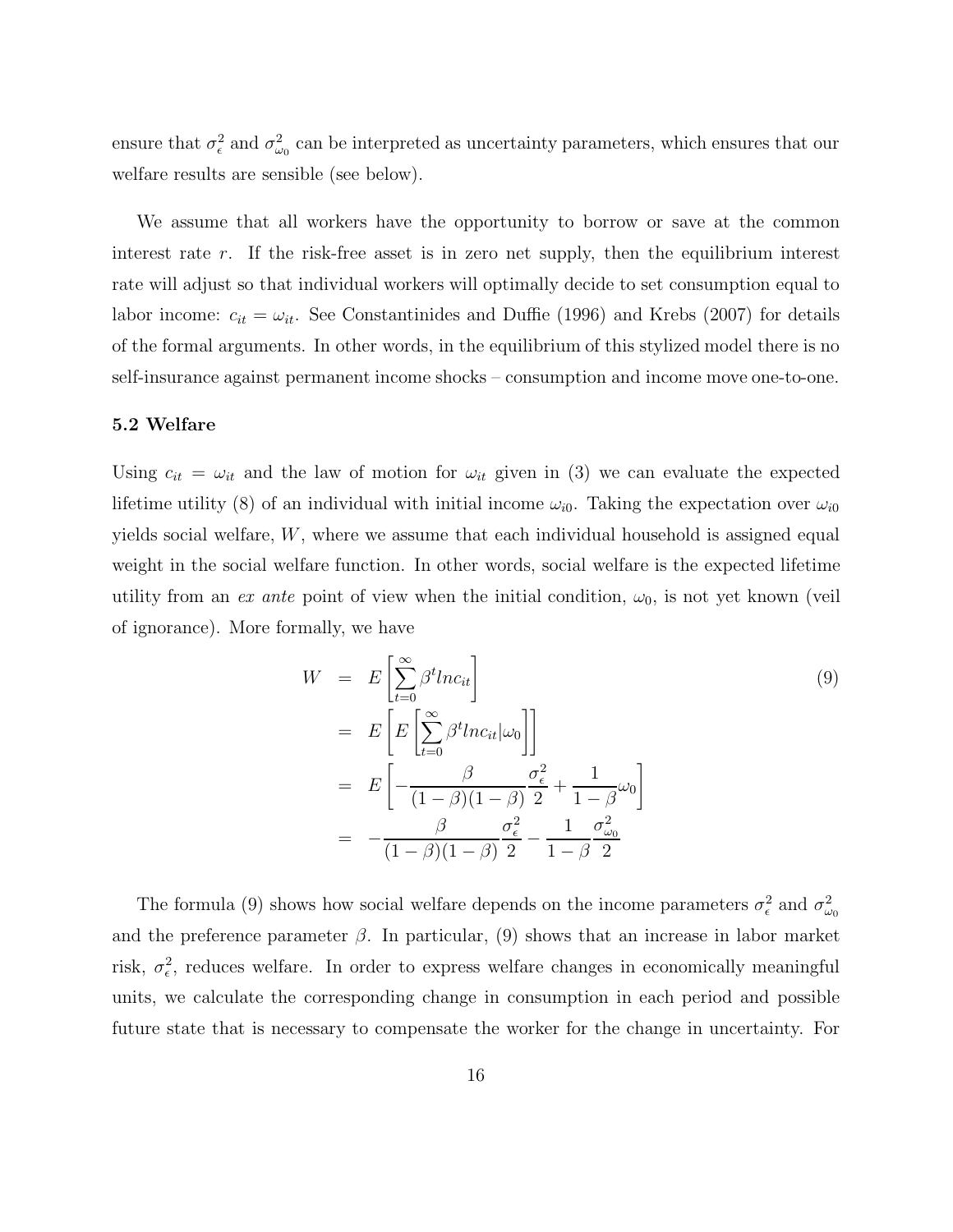ensure that  $\sigma_{\epsilon}^2$  and  $\sigma_{\omega_0}^2$  can be interpreted as uncertainty parameters, which ensures that our welfare results are sensible (see below).

We assume that all workers have the opportunity to borrow or save at the common interest rate r. If the risk-free asset is in zero net supply, then the equilibrium interest rate will adjust so that individual workers will optimally decide to set consumption equal to labor income:  $c_{it} = \omega_{it}$ . See Constantinides and Duffie (1996) and Krebs (2007) for details of the formal arguments. In other words, in the equilibrium of this stylized model there is no self-insurance against permanent income shocks – consumption and income move one-to-one.

#### **5.2 Welfare**

Using  $c_{it} = \omega_{it}$  and the law of motion for  $\omega_{it}$  given in (3) we can evaluate the expected lifetime utility (8) of an individual with initial income  $\omega_{i0}$ . Taking the expectation over  $\omega_{i0}$ yields social welfare, W, where we assume that each individual household is assigned equal weight in the social welfare function. In other words, social welfare is the expected lifetime utility from an *ex ante* point of view when the initial condition,  $\omega_0$ , is not yet known (veil of ignorance). More formally, we have

$$
W = E\left[\sum_{t=0}^{\infty} \beta^t ln c_{it}\right]
$$
  
= 
$$
E\left[E\left[\sum_{t=0}^{\infty} \beta^t ln c_{it} |\omega_0|\right]\right]
$$
  
= 
$$
E\left[-\frac{\beta}{(1-\beta)(1-\beta)}\frac{\sigma_{\epsilon}^2}{2} + \frac{1}{1-\beta}\omega_0\right]
$$
  
= 
$$
-\frac{\beta}{(1-\beta)(1-\beta)}\frac{\sigma_{\epsilon}^2}{2} - \frac{1}{1-\beta}\frac{\sigma_{\omega_0}^2}{2}
$$
 (9)

The formula (9) shows how social welfare depends on the income parameters  $\sigma_{\epsilon}^2$  and  $\sigma_{\omega_0}^2$ and the preference parameter  $\beta$ . In particular, (9) shows that an increase in labor market risk,  $\sigma_{\epsilon}^2$ , reduces welfare. In order to express welfare changes in economically meaningful units, we calculate the corresponding change in consumption in each period and possible future state that is necessary to compensate the worker for the change in uncertainty. For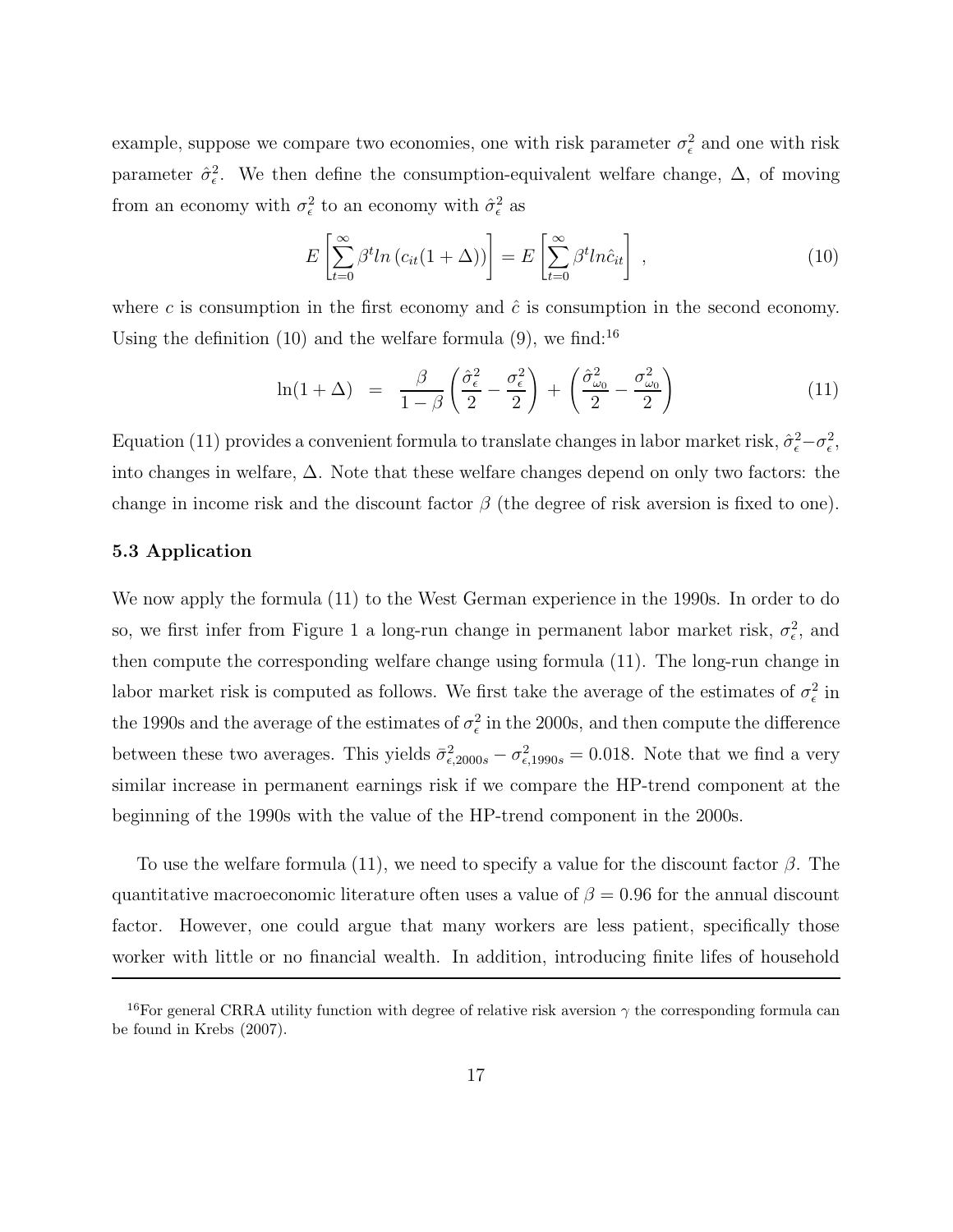example, suppose we compare two economies, one with risk parameter  $\sigma_{\epsilon}^2$  and one with risk parameter  $\hat{\sigma}_{\epsilon}^2$ . We then define the consumption-equivalent welfare change,  $\Delta$ , of moving from an economy with  $\sigma_{\epsilon}^2$  to an economy with  $\hat{\sigma}_{\epsilon}^2$  as

$$
E\left[\sum_{t=0}^{\infty} \beta^t ln\left(c_{it}(1+\Delta)\right)\right] = E\left[\sum_{t=0}^{\infty} \beta^t ln \hat{c}_{it}\right],\tag{10}
$$

where c is consumption in the first economy and  $\hat{c}$  is consumption in the second economy. Using the definition  $(10)$  and the welfare formula  $(9)$ , we find:<sup>16</sup>

$$
\ln(1+\Delta) = \frac{\beta}{1-\beta} \left( \frac{\hat{\sigma}_{\epsilon}^2}{2} - \frac{\sigma_{\epsilon}^2}{2} \right) + \left( \frac{\hat{\sigma}_{\omega_0}^2}{2} - \frac{\sigma_{\omega_0}^2}{2} \right) \tag{11}
$$

Equation (11) provides a convenient formula to translate changes in labor market risk,  $\hat{\sigma}_{\epsilon}^2 - \sigma_{\epsilon}^2$ , into changes in welfare, ∆. Note that these welfare changes depend on only two factors: the change in income risk and the discount factor  $\beta$  (the degree of risk aversion is fixed to one).

### **5.3 Application**

We now apply the formula (11) to the West German experience in the 1990s. In order to do so, we first infer from Figure 1 a long-run change in permanent labor market risk,  $\sigma_{\epsilon}^2$ , and then compute the corresponding welfare change using formula (11). The long-run change in labor market risk is computed as follows. We first take the average of the estimates of  $\sigma_{\epsilon}^2$  in the 1990s and the average of the estimates of  $\sigma_{\epsilon}^2$  in the 2000s, and then compute the difference between these two averages. This yields  $\bar{\sigma}_{\epsilon,2000s}^2 - \sigma_{\epsilon,1990s}^2 = 0.018$ . Note that we find a very similar increase in permanent earnings risk if we compare the HP-trend component at the beginning of the 1990s with the value of the HP-trend component in the 2000s.

To use the welfare formula (11), we need to specify a value for the discount factor  $\beta$ . The quantitative macroeconomic literature often uses a value of  $\beta = 0.96$  for the annual discount factor. However, one could argue that many workers are less patient, specifically those worker with little or no financial wealth. In addition, introducing finite lifes of household

<sup>&</sup>lt;sup>16</sup>For general CRRA utility function with degree of relative risk aversion  $\gamma$  the corresponding formula can be found in Krebs (2007).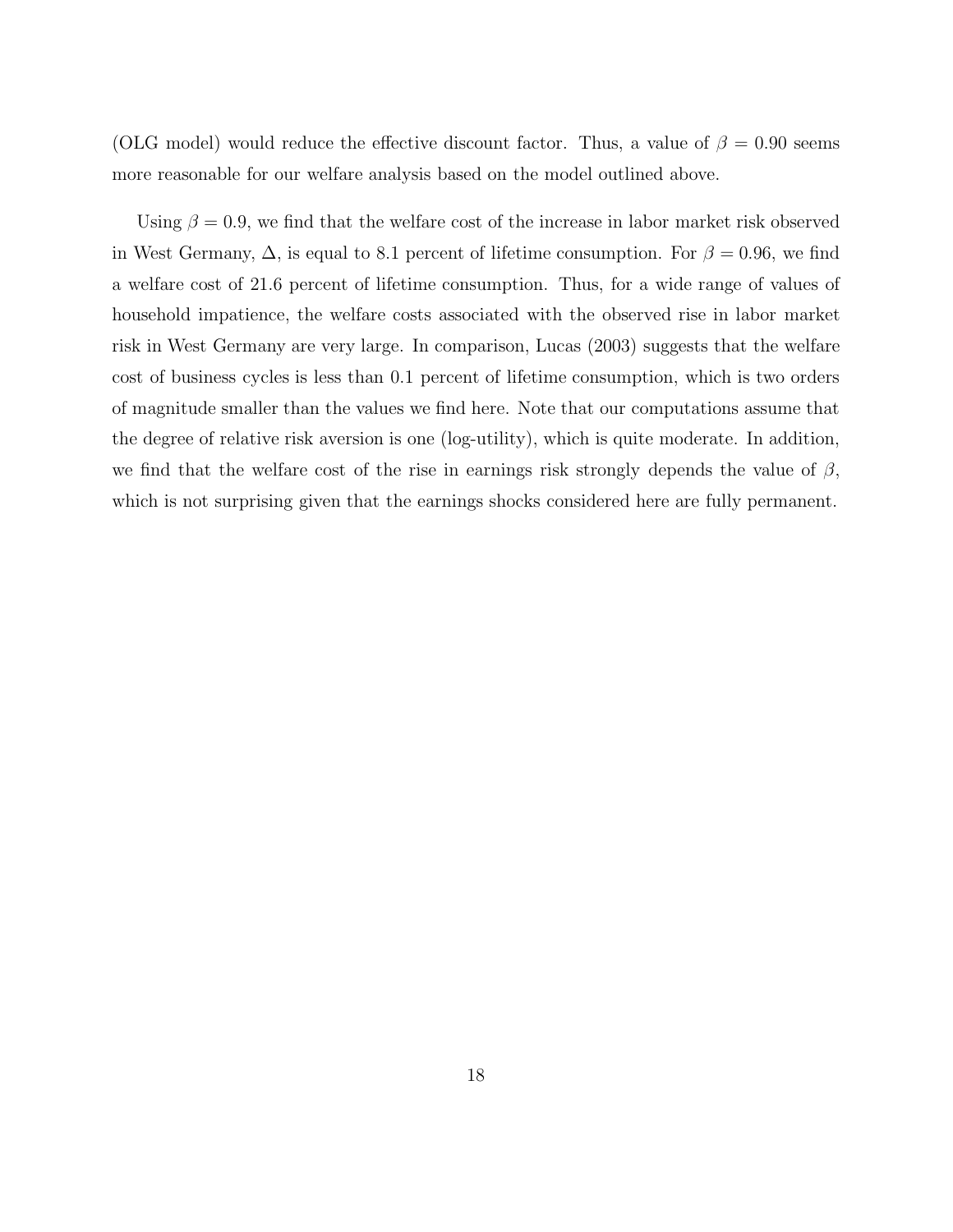(OLG model) would reduce the effective discount factor. Thus, a value of  $\beta = 0.90$  seems more reasonable for our welfare analysis based on the model outlined above.

Using  $\beta = 0.9$ , we find that the welfare cost of the increase in labor market risk observed in West Germany,  $\Delta$ , is equal to 8.1 percent of lifetime consumption. For  $\beta = 0.96$ , we find a welfare cost of 21.6 percent of lifetime consumption. Thus, for a wide range of values of household impatience, the welfare costs associated with the observed rise in labor market risk in West Germany are very large. In comparison, Lucas (2003) suggests that the welfare cost of business cycles is less than 0.1 percent of lifetime consumption, which is two orders of magnitude smaller than the values we find here. Note that our computations assume that the degree of relative risk aversion is one (log-utility), which is quite moderate. In addition, we find that the welfare cost of the rise in earnings risk strongly depends the value of  $\beta$ , which is not surprising given that the earnings shocks considered here are fully permanent.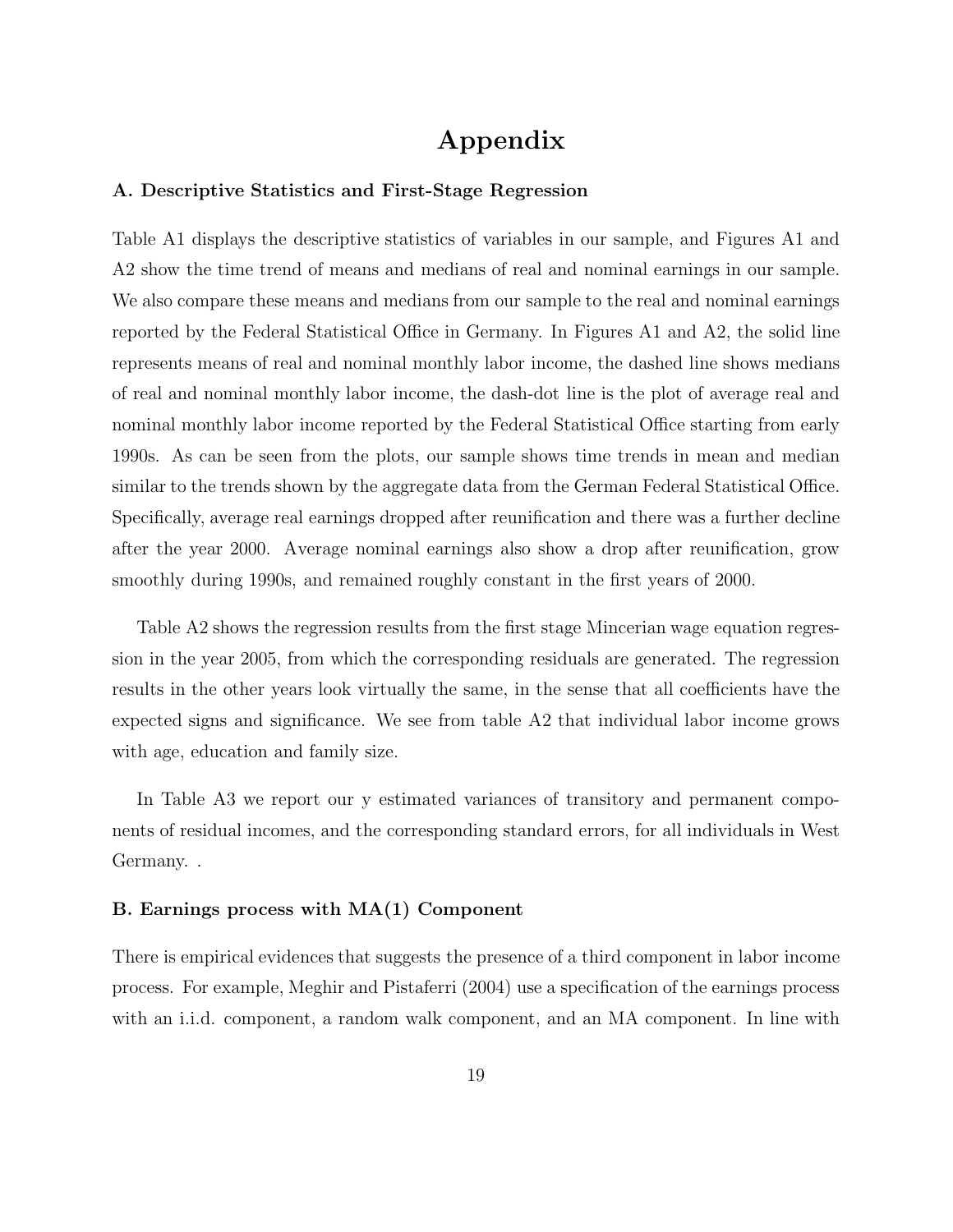# **Appendix**

### **A. Descriptive Statistics and First-Stage Regression**

Table A1 displays the descriptive statistics of variables in our sample, and Figures A1 and A2 show the time trend of means and medians of real and nominal earnings in our sample. We also compare these means and medians from our sample to the real and nominal earnings reported by the Federal Statistical Office in Germany. In Figures A1 and A2, the solid line represents means of real and nominal monthly labor income, the dashed line shows medians of real and nominal monthly labor income, the dash-dot line is the plot of average real and nominal monthly labor income reported by the Federal Statistical Office starting from early 1990s. As can be seen from the plots, our sample shows time trends in mean and median similar to the trends shown by the aggregate data from the German Federal Statistical Office. Specifically, average real earnings dropped after reunification and there was a further decline after the year 2000. Average nominal earnings also show a drop after reunification, grow smoothly during 1990s, and remained roughly constant in the first years of 2000.

Table A2 shows the regression results from the first stage Mincerian wage equation regression in the year 2005, from which the corresponding residuals are generated. The regression results in the other years look virtually the same, in the sense that all coefficients have the expected signs and significance. We see from table A2 that individual labor income grows with age, education and family size.

In Table A3 we report our y estimated variances of transitory and permanent components of residual incomes, and the corresponding standard errors, for all individuals in West Germany. .

### **B. Earnings process with MA(1) Component**

There is empirical evidences that suggests the presence of a third component in labor income process. For example, Meghir and Pistaferri (2004) use a specification of the earnings process with an i.i.d. component, a random walk component, and an MA component. In line with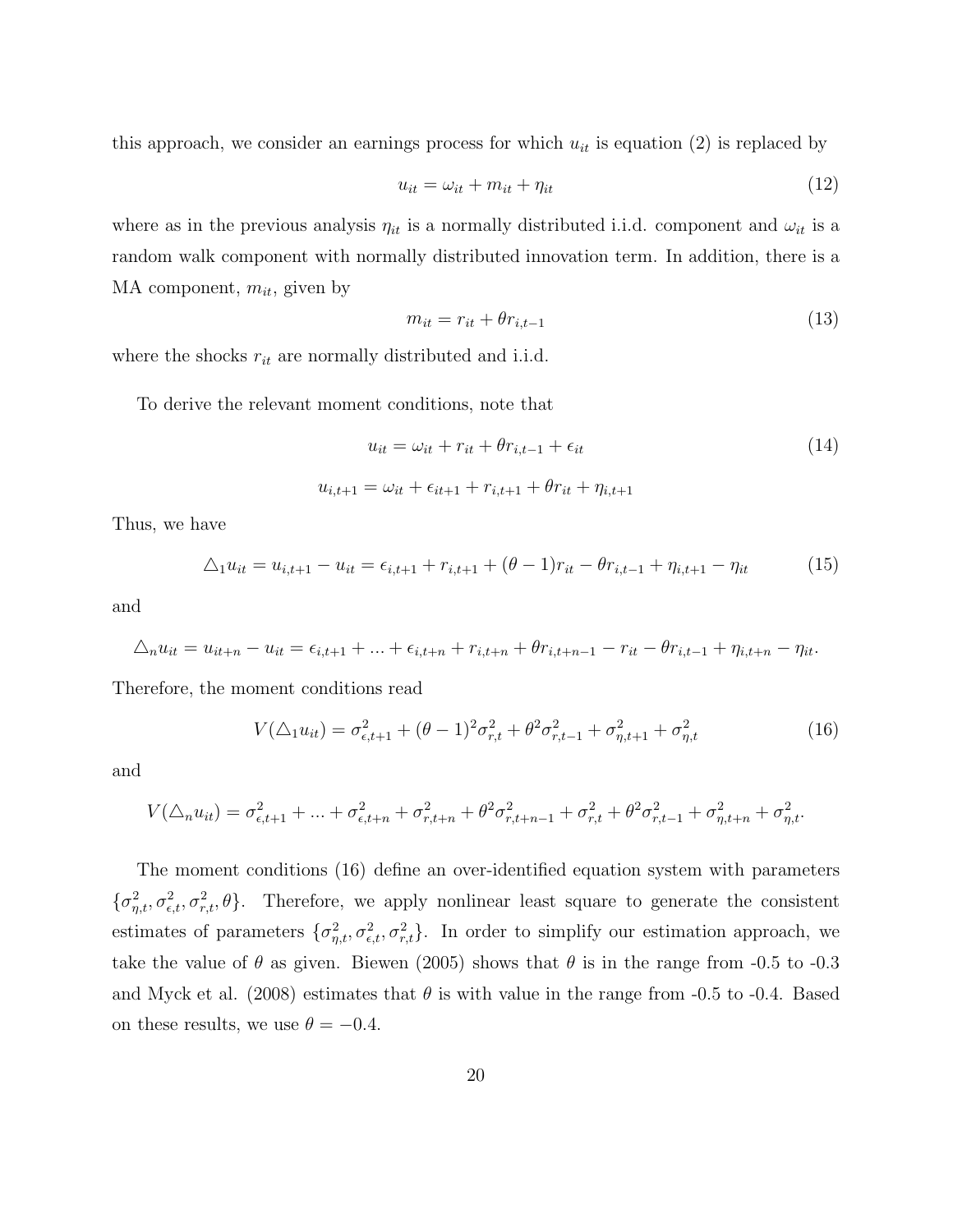this approach, we consider an earnings process for which  $u_{it}$  is equation (2) is replaced by

$$
u_{it} = \omega_{it} + m_{it} + \eta_{it} \tag{12}
$$

where as in the previous analysis  $\eta_{it}$  is a normally distributed i.i.d. component and  $\omega_{it}$  is a random walk component with normally distributed innovation term. In addition, there is a MA component,  $m_{it}$ , given by

$$
m_{it} = r_{it} + \theta r_{i,t-1} \tag{13}
$$

where the shocks  $r_{it}$  are normally distributed and i.i.d.

To derive the relevant moment conditions, note that

$$
u_{it} = \omega_{it} + r_{it} + \theta r_{i, t-1} + \epsilon_{it}
$$
\n
$$
(14)
$$

$$
u_{i,t+1} = \omega_{it} + \epsilon_{it+1} + r_{i,t+1} + \theta r_{it} + \eta_{i,t+1}
$$

Thus, we have

$$
\Delta_1 u_{it} = u_{i,t+1} - u_{it} = \epsilon_{i,t+1} + r_{i,t+1} + (\theta - 1)r_{it} - \theta r_{i,t-1} + \eta_{i,t+1} - \eta_{it}
$$
(15)

and

$$
\Delta_n u_{it} = u_{it+n} - u_{it} = \epsilon_{i,t+1} + \ldots + \epsilon_{i,t+n} + r_{i,t+n} + \theta r_{i,t+n-1} - r_{it} - \theta r_{i,t-1} + \eta_{i,t+n} - \eta_{it}.
$$

Therefore, the moment conditions read

$$
V(\Delta_1 u_{it}) = \sigma_{\epsilon, t+1}^2 + (\theta - 1)^2 \sigma_{r,t}^2 + \theta^2 \sigma_{r,t-1}^2 + \sigma_{\eta, t+1}^2 + \sigma_{\eta, t}^2
$$
 (16)

and

$$
V(\triangle_n u_{it}) = \sigma_{\epsilon, t+1}^2 + \ldots + \sigma_{\epsilon, t+n}^2 + \sigma_{r, t+n}^2 + \theta^2 \sigma_{r, t+n-1}^2 + \sigma_{r, t}^2 + \theta^2 \sigma_{r, t-1}^2 + \sigma_{\eta, t+n}^2 + \sigma_{\eta, t+n}^2
$$

The moment conditions (16) define an over-identified equation system with parameters  $\{\sigma_{\eta,t}^2, \sigma_{\epsilon,t}^2, \sigma_{r,t}^2, \theta\}.$  Therefore, we apply nonlinear least square to generate the consistent estimates of parameters  $\{\sigma_{\eta,t}^2, \sigma_{\epsilon,t}^2, \sigma_{r,t}^2\}$ . In order to simplify our estimation approach, we take the value of  $\theta$  as given. Biewen (2005) shows that  $\theta$  is in the range from -0.5 to -0.3 and Myck et al. (2008) estimates that  $\theta$  is with value in the range from -0.5 to -0.4. Based on these results, we use  $\theta = -0.4$ .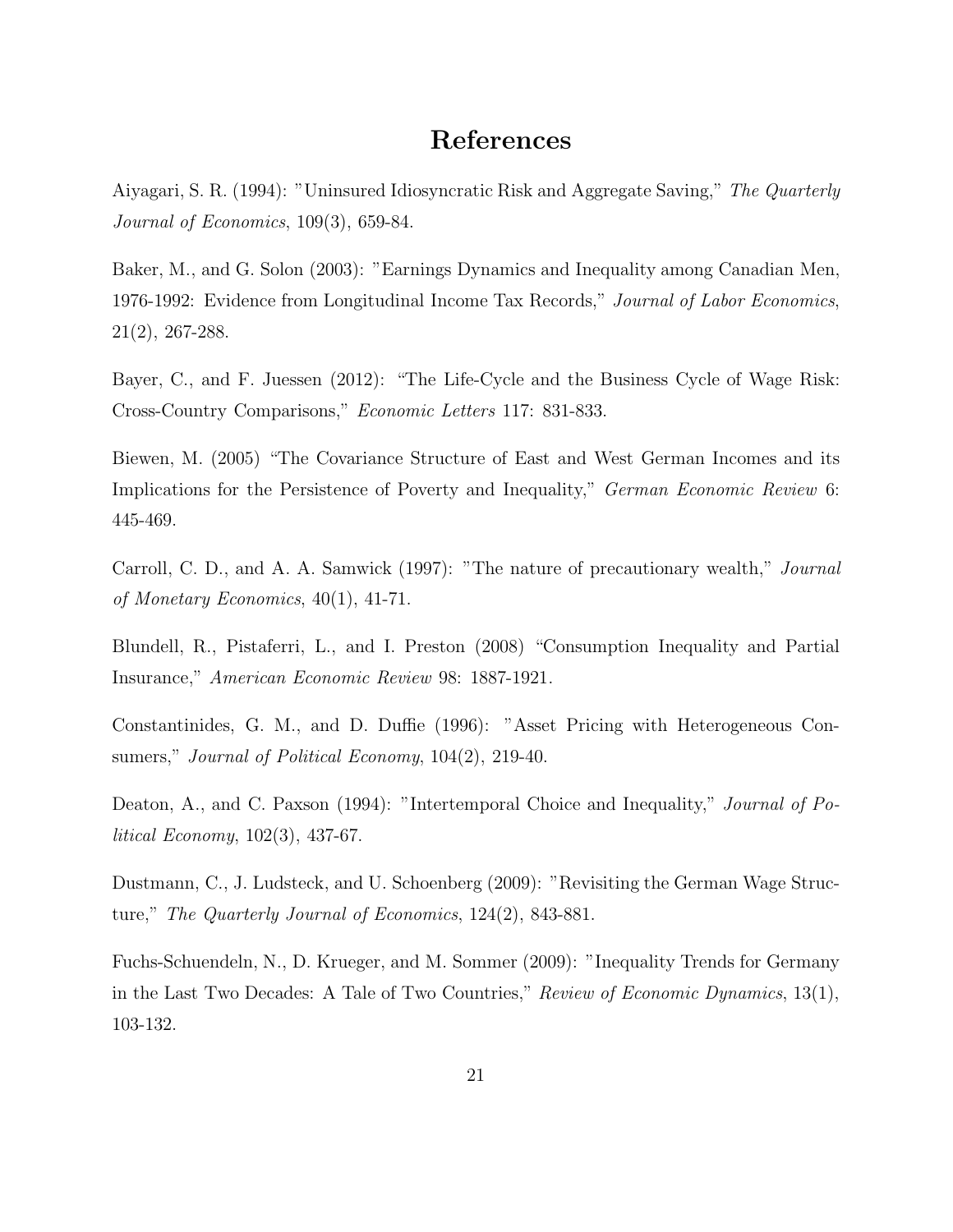## **References**

Aiyagari, S. R. (1994): "Uninsured Idiosyncratic Risk and Aggregate Saving," *The Quarterly Journal of Economics*, 109(3), 659-84.

Baker, M., and G. Solon (2003): "Earnings Dynamics and Inequality among Canadian Men, 1976-1992: Evidence from Longitudinal Income Tax Records," *Journal of Labor Economics*, 21(2), 267-288.

Bayer, C., and F. Juessen (2012): "The Life-Cycle and the Business Cycle of Wage Risk: Cross-Country Comparisons," *Economic Letters* 117: 831-833.

Biewen, M. (2005) "The Covariance Structure of East and West German Incomes and its Implications for the Persistence of Poverty and Inequality," *German Economic Review* 6: 445-469.

Carroll, C. D., and A. A. Samwick (1997): "The nature of precautionary wealth," *Journal of Monetary Economics*, 40(1), 41-71.

Blundell, R., Pistaferri, L., and I. Preston (2008) "Consumption Inequality and Partial Insurance," *American Economic Review* 98: 1887-1921.

Constantinides, G. M., and D. Duffie (1996): "Asset Pricing with Heterogeneous Consumers," *Journal of Political Economy*, 104(2), 219-40.

Deaton, A., and C. Paxson (1994): "Intertemporal Choice and Inequality," *Journal of Political Economy*, 102(3), 437-67.

Dustmann, C., J. Ludsteck, and U. Schoenberg (2009): "Revisiting the German Wage Structure," *The Quarterly Journal of Economics*, 124(2), 843-881.

Fuchs-Schuendeln, N., D. Krueger, and M. Sommer (2009): "Inequality Trends for Germany in the Last Two Decades: A Tale of Two Countries," *Review of Economic Dynamics*, 13(1), 103-132.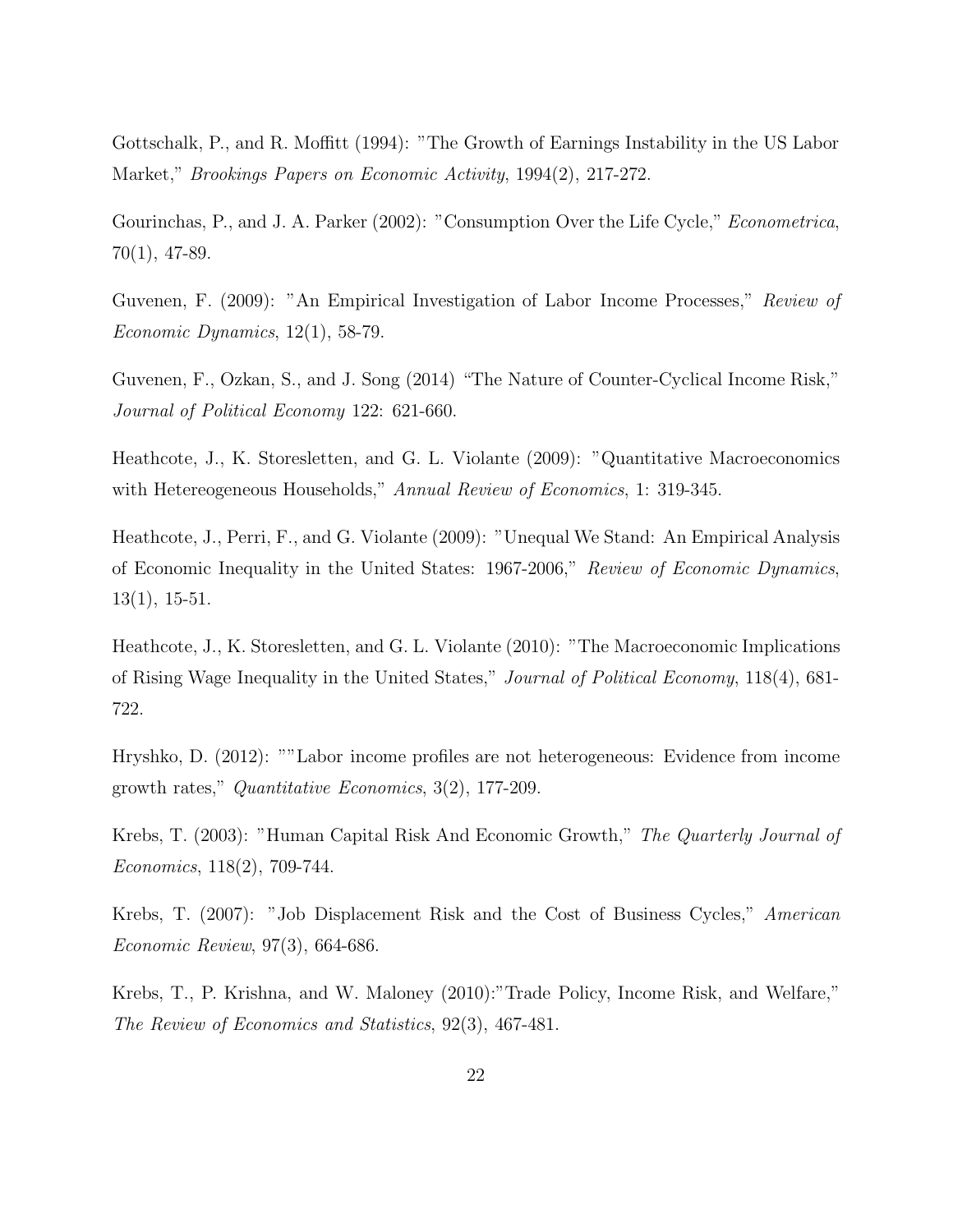Gottschalk, P., and R. Moffitt (1994): "The Growth of Earnings Instability in the US Labor Market," *Brookings Papers on Economic Activity*, 1994(2), 217-272.

Gourinchas, P., and J. A. Parker (2002): "Consumption Over the Life Cycle," *Econometrica*, 70(1), 47-89.

Guvenen, F. (2009): "An Empirical Investigation of Labor Income Processes," *Review of Economic Dynamics*, 12(1), 58-79.

Guvenen, F., Ozkan, S., and J. Song (2014) "The Nature of Counter-Cyclical Income Risk," *Journal of Political Economy* 122: 621-660.

Heathcote, J., K. Storesletten, and G. L. Violante (2009): "Quantitative Macroeconomics with Hetereogeneous Households," *Annual Review of Economics*, 1: 319-345.

Heathcote, J., Perri, F., and G. Violante (2009): "Unequal We Stand: An Empirical Analysis of Economic Inequality in the United States: 1967-2006," *Review of Economic Dynamics*, 13(1), 15-51.

Heathcote, J., K. Storesletten, and G. L. Violante (2010): "The Macroeconomic Implications of Rising Wage Inequality in the United States," *Journal of Political Economy*, 118(4), 681- 722.

Hryshko, D. (2012): ""Labor income profiles are not heterogeneous: Evidence from income growth rates," *Quantitative Economics*, 3(2), 177-209.

Krebs, T. (2003): "Human Capital Risk And Economic Growth," *The Quarterly Journal of Economics*, 118(2), 709-744.

Krebs, T. (2007): "Job Displacement Risk and the Cost of Business Cycles," *American Economic Review*, 97(3), 664-686.

Krebs, T., P. Krishna, and W. Maloney (2010):"Trade Policy, Income Risk, and Welfare," *The Review of Economics and Statistics*, 92(3), 467-481.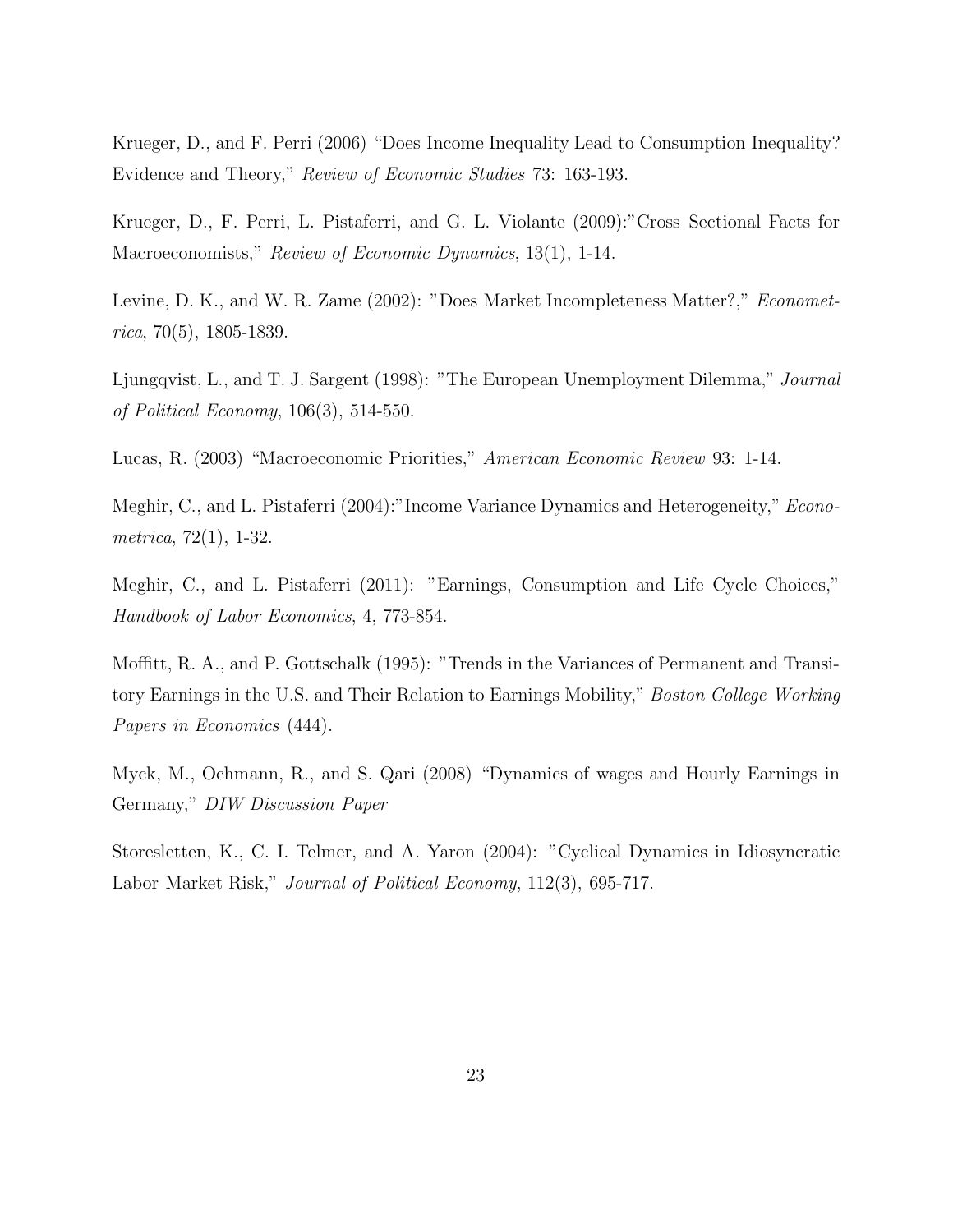Krueger, D., and F. Perri (2006) "Does Income Inequality Lead to Consumption Inequality? Evidence and Theory," *Review of Economic Studies* 73: 163-193.

Krueger, D., F. Perri, L. Pistaferri, and G. L. Violante (2009):"Cross Sectional Facts for Macroeconomists," *Review of Economic Dynamics*, 13(1), 1-14.

Levine, D. K., and W. R. Zame (2002): "Does Market Incompleteness Matter?," *Econometrica*, 70(5), 1805-1839.

Ljungqvist, L., and T. J. Sargent (1998): "The European Unemployment Dilemma," *Journal of Political Economy*, 106(3), 514-550.

Lucas, R. (2003) "Macroeconomic Priorities," *American Economic Review* 93: 1-14.

Meghir, C., and L. Pistaferri (2004):"Income Variance Dynamics and Heterogeneity," *Econometrica*, 72(1), 1-32.

Meghir, C., and L. Pistaferri (2011): "Earnings, Consumption and Life Cycle Choices," *Handbook of Labor Economics*, 4, 773-854.

Moffitt, R. A., and P. Gottschalk (1995): "Trends in the Variances of Permanent and Transitory Earnings in the U.S. and Their Relation to Earnings Mobility," *Boston College Working Papers in Economics* (444).

Myck, M., Ochmann, R., and S. Qari (2008) "Dynamics of wages and Hourly Earnings in Germany," *DIW Discussion Paper*

Storesletten, K., C. I. Telmer, and A. Yaron (2004): "Cyclical Dynamics in Idiosyncratic Labor Market Risk," *Journal of Political Economy*, 112(3), 695-717.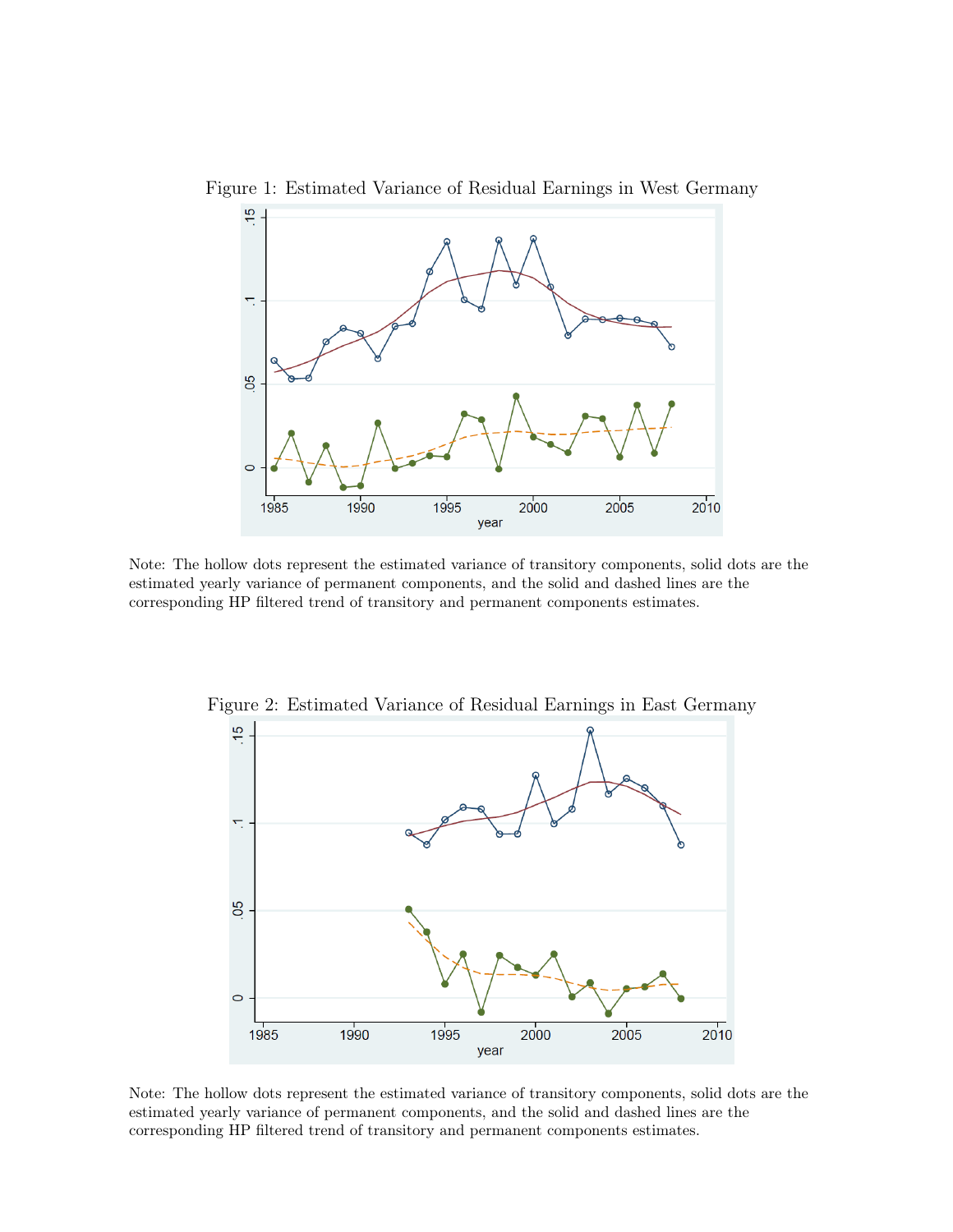

Figure 1: Estimated Variance of Residual Earnings in West Germany

Note: The hollow dots represent the estimated variance of transitory components, solid dots are the estimated yearly variance of permanent components, and the solid and dashed lines are the corresponding HP filtered trend of transitory and permanent components estimates.



Figure 2: Estimated Variance of Residual Earnings in East Germany

Note: The hollow dots represent the estimated variance of transitory components, solid dots are the estimated yearly variance of permanent components, and the solid and dashed lines are the corresponding HP filtered trend of transitory and permanent components estimates.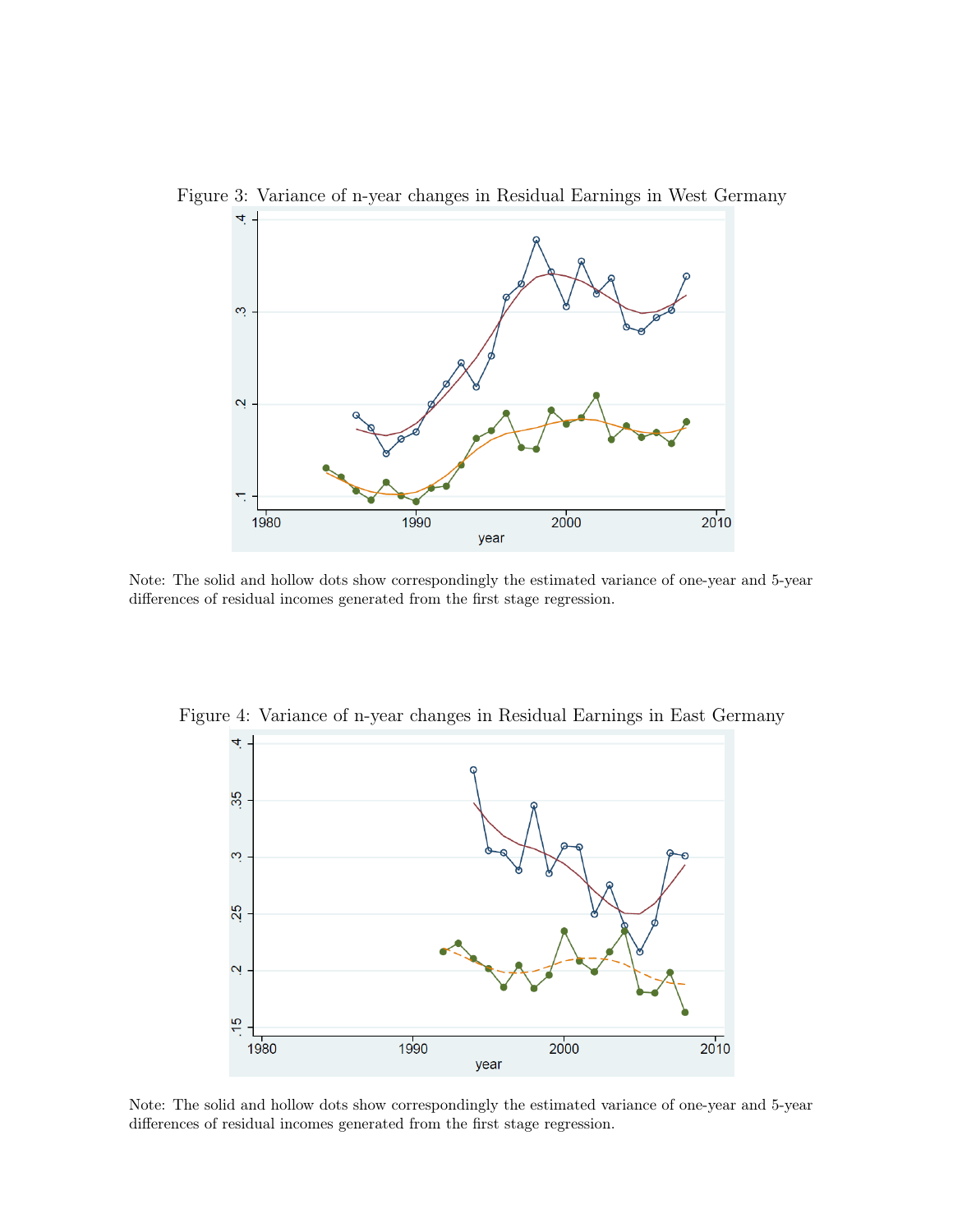

Figure 3: Variance of n-year changes in Residual Earnings in West Germany

Note: The solid and hollow dots show correspondingly the estimated variance of one-year and 5-year differences of residual incomes generated from the first stage regression.



Figure 4: Variance of n-year changes in Residual Earnings in East Germany

Note: The solid and hollow dots show correspondingly the estimated variance of one-year and 5-year differences of residual incomes generated from the first stage regression.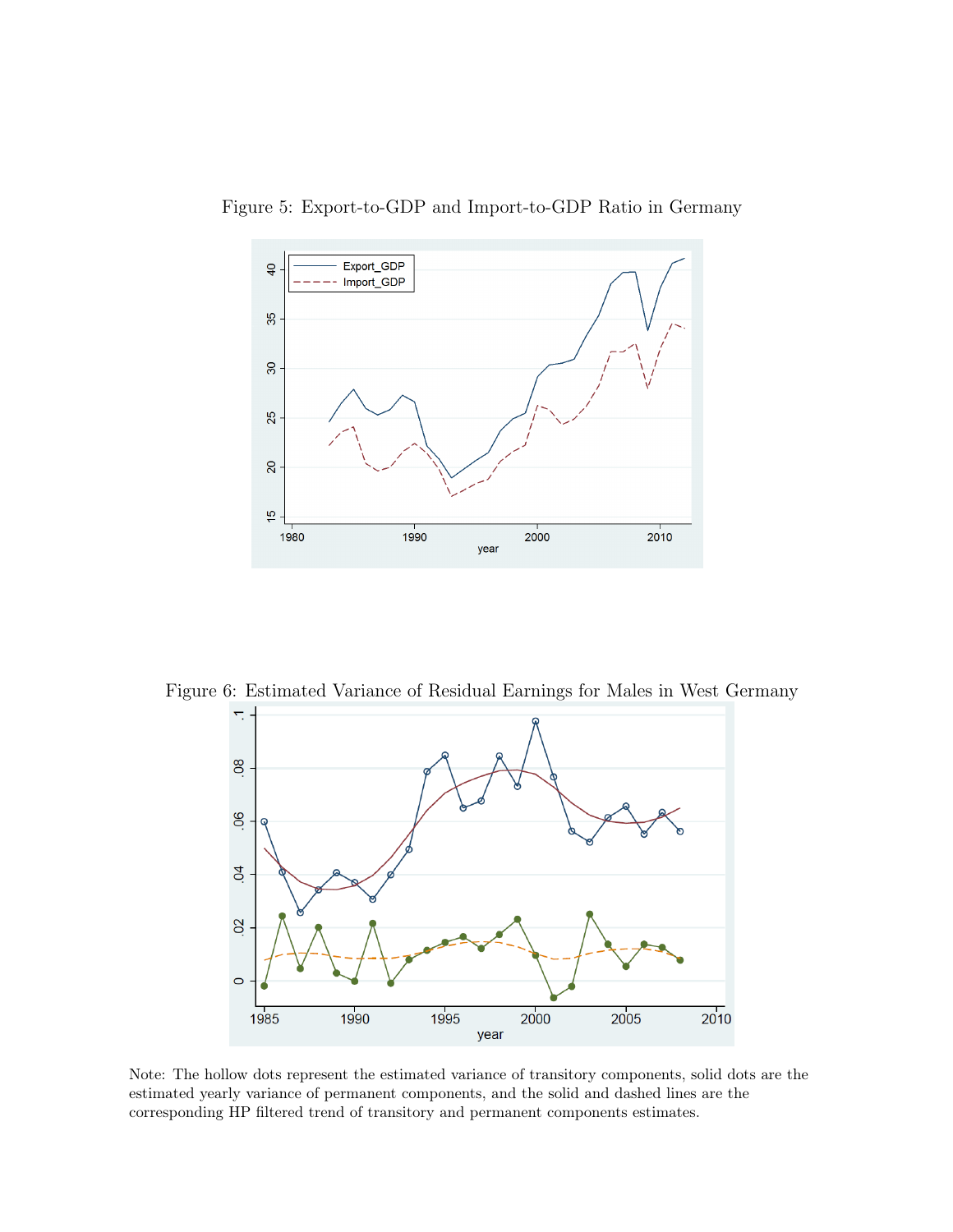

Figure 5: Export-to-GDP and Import-to-GDP Ratio in Germany

Figure 6: Estimated Variance of Residual Earnings for Males in West Germany



Note: The hollow dots represent the estimated variance of transitory components, solid dots are the estimated yearly variance of permanent components, and the solid and dashed lines are the corresponding HP filtered trend of transitory and permanent components estimates.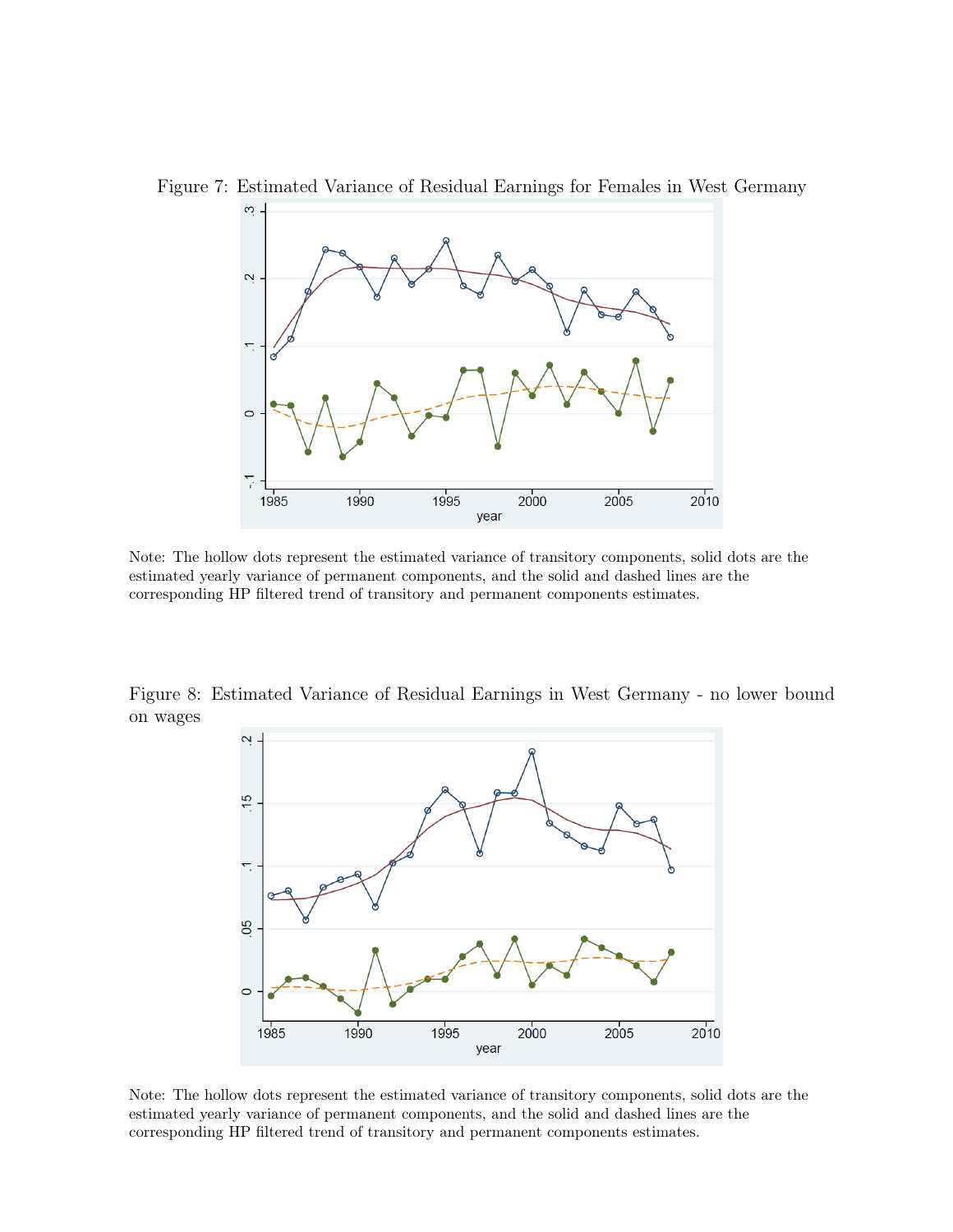

Figure 7: Estimated Variance of Residual Earnings for Females in West Germany

Note: The hollow dots represent the estimated variance of transitory components, solid dots are the estimated yearly variance of permanent components, and the solid and dashed lines are the corresponding HP filtered trend of transitory and permanent components estimates.

Figure 8: Estimated Variance of Residual Earnings in West Germany - no lower bound on wages



Note: The hollow dots represent the estimated variance of transitory components, solid dots are the estimated yearly variance of permanent components, and the solid and dashed lines are the corresponding HP filtered trend of transitory and permanent components estimates.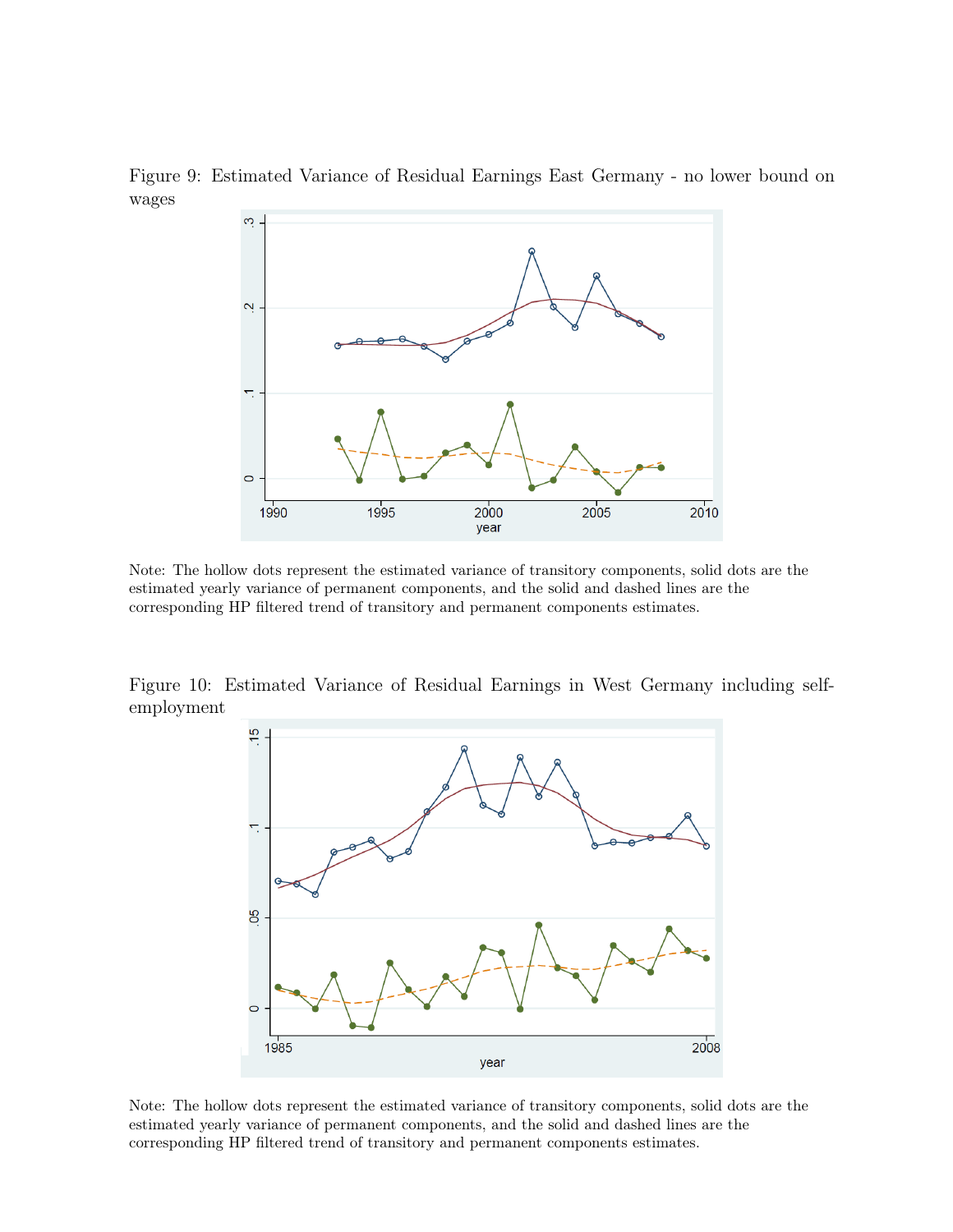



Note: The hollow dots represent the estimated variance of transitory components, solid dots are the estimated yearly variance of permanent components, and the solid and dashed lines are the corresponding HP filtered trend of transitory and permanent components estimates.

Figure 10: Estimated Variance of Residual Earnings in West Germany including selfemployment



Note: The hollow dots represent the estimated variance of transitory components, solid dots are the estimated yearly variance of permanent components, and the solid and dashed lines are the corresponding HP filtered trend of transitory and permanent components estimates.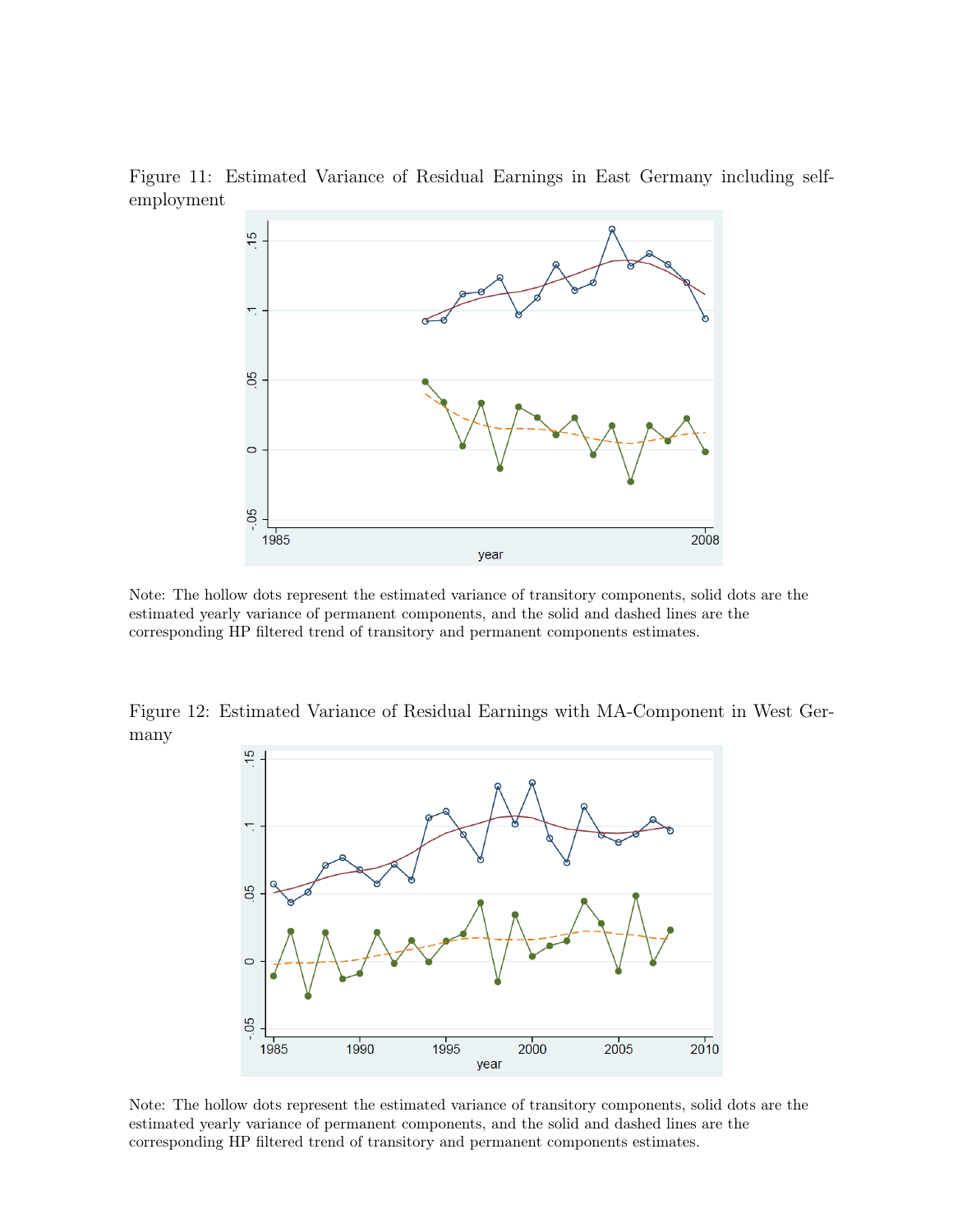

Figure 11: Estimated Variance of Residual Earnings in East Germany including selfemployment

Note: The hollow dots represent the estimated variance of transitory components, solid dots are the estimated yearly variance of permanent components, and the solid and dashed lines are the corresponding HP filtered trend of transitory and permanent components estimates.

Figure 12: Estimated Variance of Residual Earnings with MA-Component in West Germany



Note: The hollow dots represent the estimated variance of transitory components, solid dots are the estimated yearly variance of permanent components, and the solid and dashed lines are the corresponding HP filtered trend of transitory and permanent components estimates.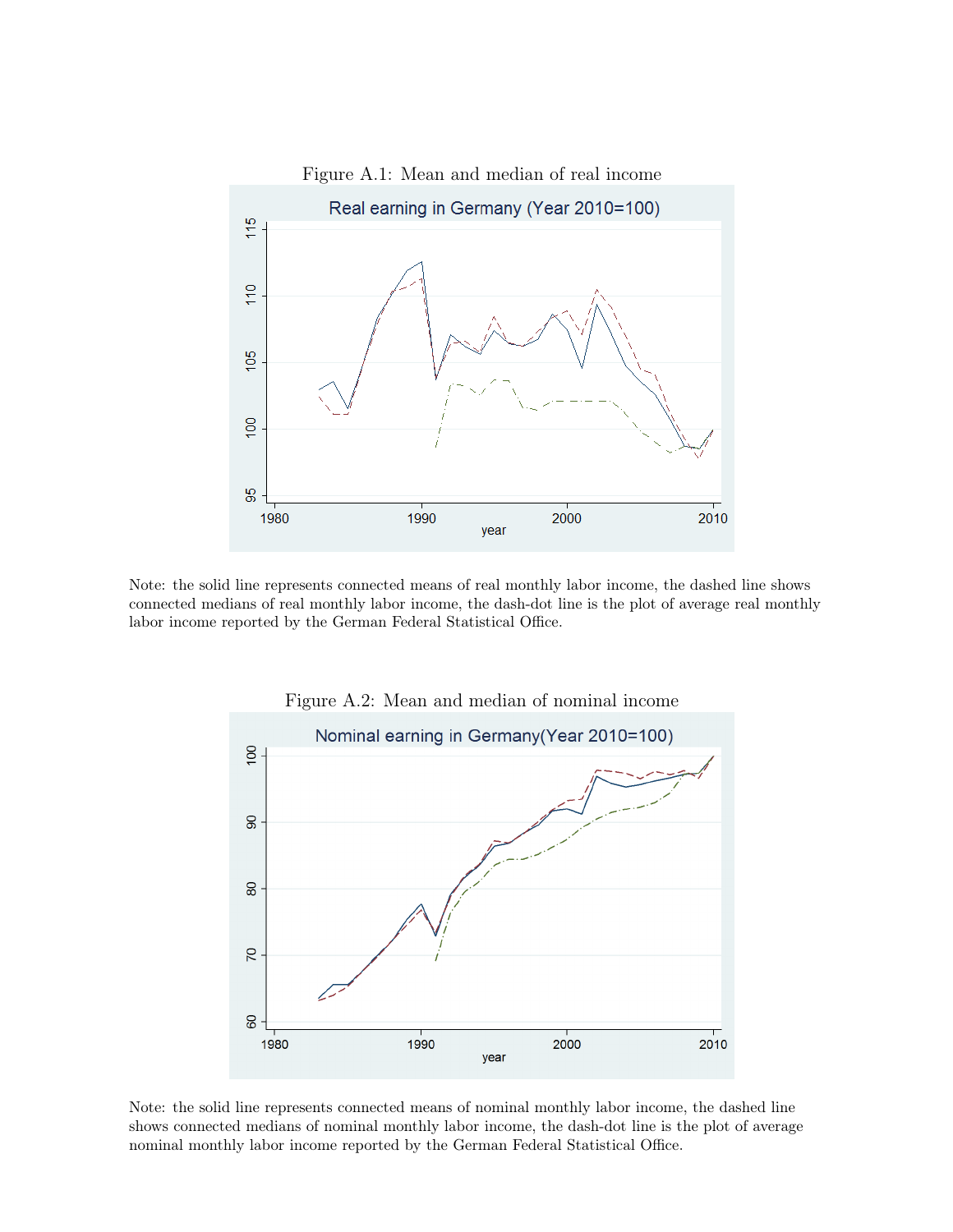

Note: the solid line represents connected means of real monthly labor income, the dashed line shows connected medians of real monthly labor income, the dash-dot line is the plot of average real monthly labor income reported by the German Federal Statistical Office.



Figure A.2: Mean and median of nominal income

Note: the solid line represents connected means of nominal monthly labor income, the dashed line shows connected medians of nominal monthly labor income, the dash-dot line is the plot of average nominal monthly labor income reported by the German Federal Statistical Office.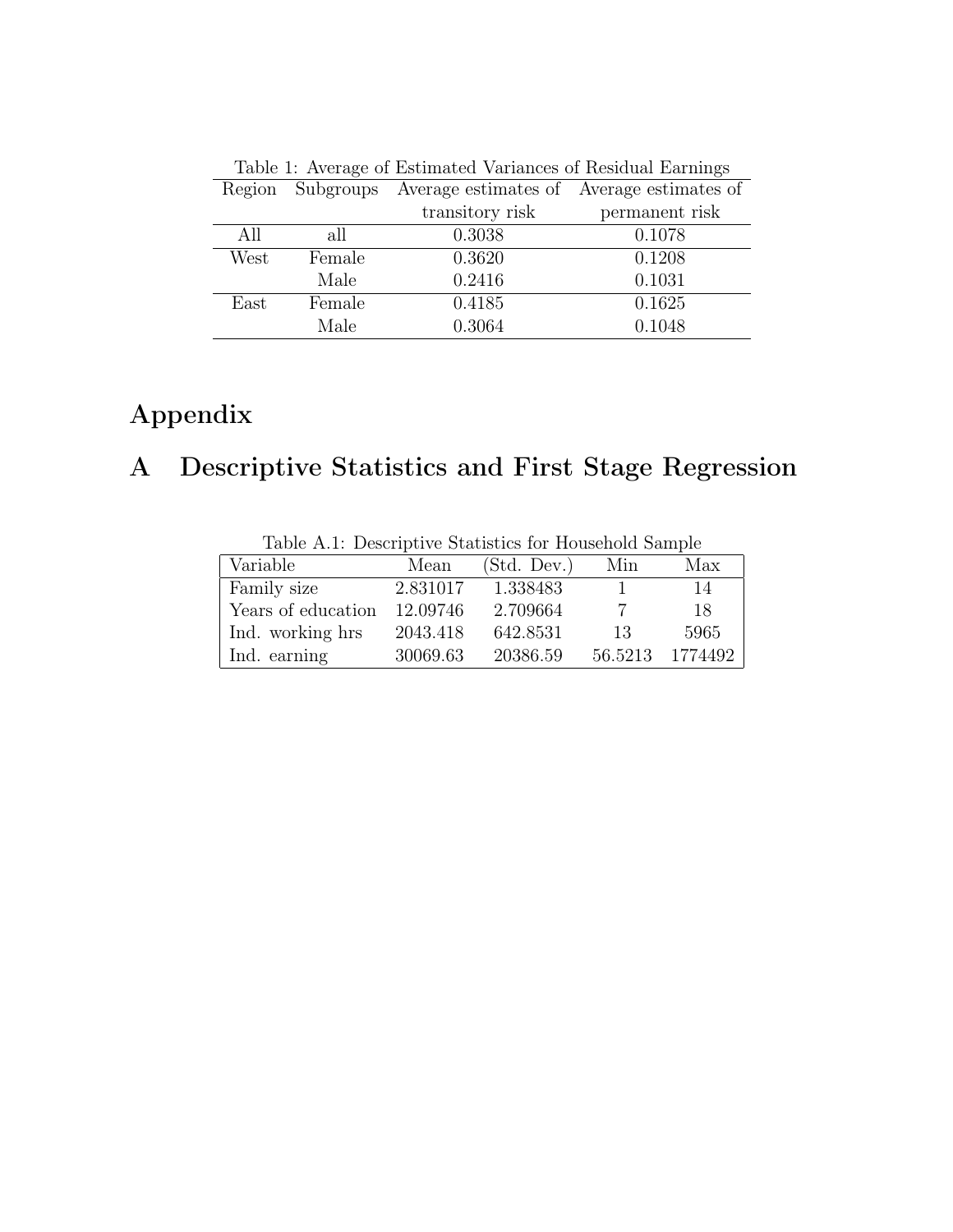| Table 1: Average of Estimated Variances of Residual Earnings |        |                                                     |                |  |  |  |  |
|--------------------------------------------------------------|--------|-----------------------------------------------------|----------------|--|--|--|--|
| Region                                                       |        | Subgroups Average estimates of Average estimates of |                |  |  |  |  |
|                                                              |        | transitory risk                                     | permanent risk |  |  |  |  |
| All                                                          | all    | 0.3038                                              | 0.1078         |  |  |  |  |
| West                                                         | Female | 0.3620                                              | 0.1208         |  |  |  |  |
|                                                              | Male   | 0.2416                                              | 0.1031         |  |  |  |  |
| East                                                         | Female | 0.4185                                              | 0.1625         |  |  |  |  |
|                                                              | Male   | 0.3064                                              | 0.1048         |  |  |  |  |

# Appendix

# A Descriptive Statistics and First Stage Regression

| race frist processes to consecute the second control consecutive |          |             |         |         |  |  |  |  |
|------------------------------------------------------------------|----------|-------------|---------|---------|--|--|--|--|
| Variable                                                         | Mean     | (Std. Dev.) | Min     | Max     |  |  |  |  |
| Family size                                                      | 2.831017 | 1.338483    |         | 14      |  |  |  |  |
| Years of education                                               | 12.09746 | 2.709664    |         | 18      |  |  |  |  |
| Ind. working hrs                                                 | 2043.418 | 642.8531    | 13      | 5965    |  |  |  |  |
| Ind. earning                                                     | 30069.63 | 20386.59    | 56.5213 | 1774492 |  |  |  |  |

Table A.1: Descriptive Statistics for Household Sample